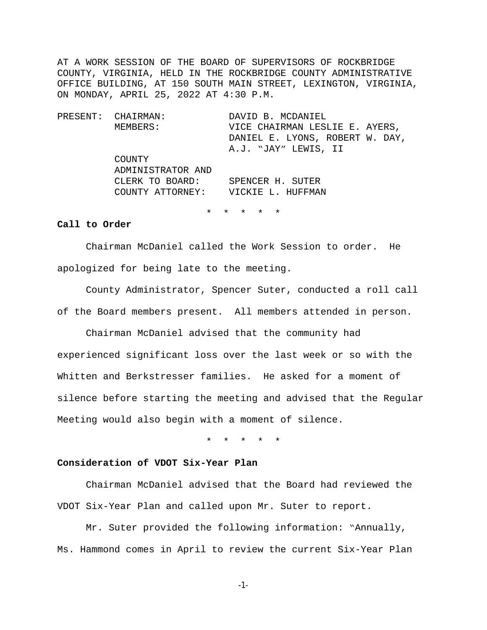AT A WORK SESSION OF THE BOARD OF SUPERVISORS OF ROCKBRIDGE COUNTY, VIRGINIA, HELD IN THE ROCKBRIDGE COUNTY ADMINISTRATIVE OFFICE BUILDING, AT 150 SOUTH MAIN STREET, LEXINGTON, VIRGINIA, ON MONDAY, APRIL 25, 2022 AT 4:30 P.M.

PRESENT: CHAIRMAN: DAVID B. MCDANIEL MEMBERS: VICE CHAIRMAN LESLIE E. AYERS, DANIEL E. LYONS, ROBERT W. DAY, A.J. "JAY" LEWIS, II COUNTY ADMINISTRATOR AND CLERK TO BOARD: SPENCER H. SUTER COUNTY ATTORNEY: VICKIE L. HUFFMAN

\* \* \* \* \*

#### **Call to Order**

Chairman McDaniel called the Work Session to order. He apologized for being late to the meeting.

County Administrator, Spencer Suter, conducted a roll call of the Board members present. All members attended in person.

Chairman McDaniel advised that the community had experienced significant loss over the last week or so with the Whitten and Berkstresser families. He asked for a moment of silence before starting the meeting and advised that the Regular Meeting would also begin with a moment of silence.

\* \* \* \* \*

#### **Consideration of VDOT Six-Year Plan**

Chairman McDaniel advised that the Board had reviewed the VDOT Six-Year Plan and called upon Mr. Suter to report.

Mr. Suter provided the following information: "Annually, Ms. Hammond comes in April to review the current Six-Year Plan

-1-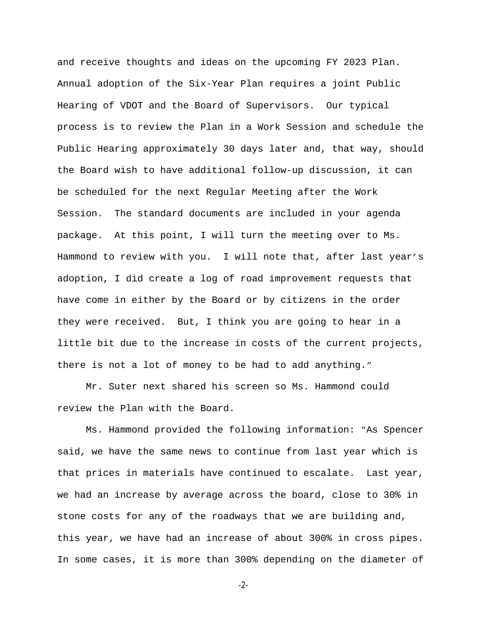and receive thoughts and ideas on the upcoming FY 2023 Plan. Annual adoption of the Six-Year Plan requires a joint Public Hearing of VDOT and the Board of Supervisors. Our typical process is to review the Plan in a Work Session and schedule the Public Hearing approximately 30 days later and, that way, should the Board wish to have additional follow-up discussion, it can be scheduled for the next Regular Meeting after the Work Session. The standard documents are included in your agenda package. At this point, I will turn the meeting over to Ms. Hammond to review with you. I will note that, after last year's adoption, I did create a log of road improvement requests that have come in either by the Board or by citizens in the order they were received. But, I think you are going to hear in a little bit due to the increase in costs of the current projects, there is not a lot of money to be had to add anything."

Mr. Suter next shared his screen so Ms. Hammond could review the Plan with the Board.

Ms. Hammond provided the following information: "As Spencer said, we have the same news to continue from last year which is that prices in materials have continued to escalate. Last year, we had an increase by average across the board, close to 30% in stone costs for any of the roadways that we are building and, this year, we have had an increase of about 300% in cross pipes. In some cases, it is more than 300% depending on the diameter of

-2-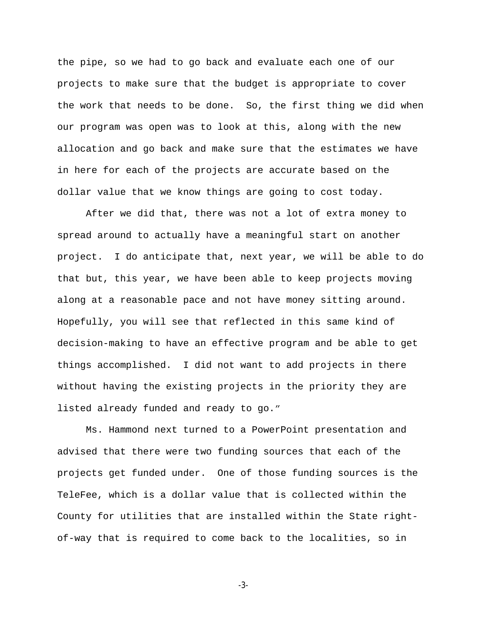the pipe, so we had to go back and evaluate each one of our projects to make sure that the budget is appropriate to cover the work that needs to be done. So, the first thing we did when our program was open was to look at this, along with the new allocation and go back and make sure that the estimates we have in here for each of the projects are accurate based on the dollar value that we know things are going to cost today.

After we did that, there was not a lot of extra money to spread around to actually have a meaningful start on another project. I do anticipate that, next year, we will be able to do that but, this year, we have been able to keep projects moving along at a reasonable pace and not have money sitting around. Hopefully, you will see that reflected in this same kind of decision-making to have an effective program and be able to get things accomplished. I did not want to add projects in there without having the existing projects in the priority they are listed already funded and ready to go."

Ms. Hammond next turned to a PowerPoint presentation and advised that there were two funding sources that each of the projects get funded under. One of those funding sources is the TeleFee, which is a dollar value that is collected within the County for utilities that are installed within the State rightof-way that is required to come back to the localities, so in

-3-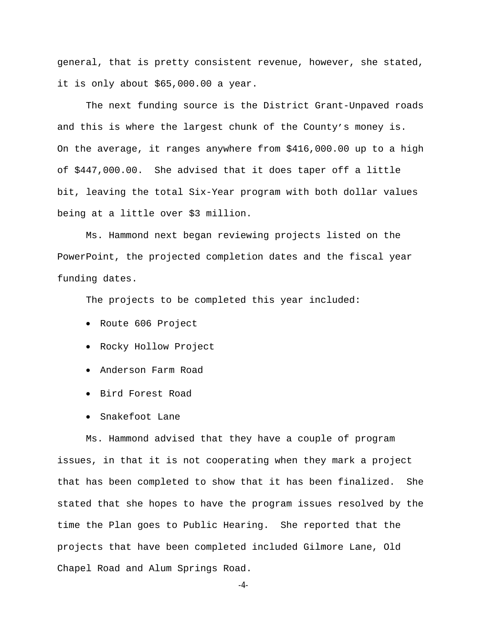general, that is pretty consistent revenue, however, she stated, it is only about \$65,000.00 a year.

The next funding source is the District Grant-Unpaved roads and this is where the largest chunk of the County's money is. On the average, it ranges anywhere from \$416,000.00 up to a high of \$447,000.00. She advised that it does taper off a little bit, leaving the total Six-Year program with both dollar values being at a little over \$3 million.

Ms. Hammond next began reviewing projects listed on the PowerPoint, the projected completion dates and the fiscal year funding dates.

The projects to be completed this year included:

- Route 606 Project
- Rocky Hollow Project
- Anderson Farm Road
- Bird Forest Road
- Snakefoot Lane

Ms. Hammond advised that they have a couple of program issues, in that it is not cooperating when they mark a project that has been completed to show that it has been finalized. She stated that she hopes to have the program issues resolved by the time the Plan goes to Public Hearing. She reported that the projects that have been completed included Gilmore Lane, Old Chapel Road and Alum Springs Road.

-4-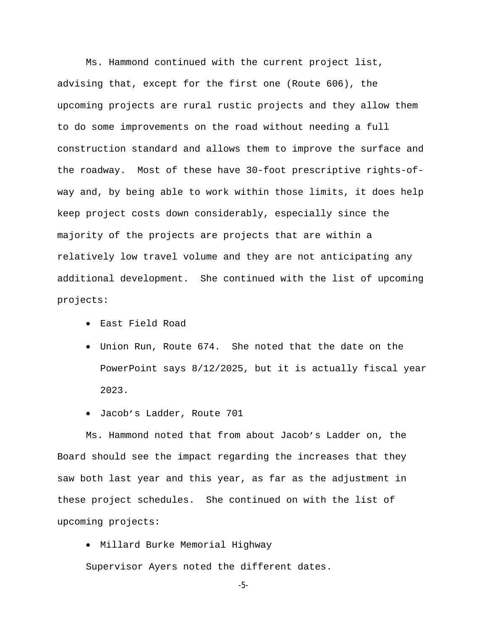Ms. Hammond continued with the current project list, advising that, except for the first one (Route 606), the upcoming projects are rural rustic projects and they allow them to do some improvements on the road without needing a full construction standard and allows them to improve the surface and the roadway. Most of these have 30-foot prescriptive rights-ofway and, by being able to work within those limits, it does help keep project costs down considerably, especially since the majority of the projects are projects that are within a relatively low travel volume and they are not anticipating any additional development. She continued with the list of upcoming projects:

- East Field Road
- Union Run, Route 674. She noted that the date on the PowerPoint says 8/12/2025, but it is actually fiscal year 2023.
- Jacob's Ladder, Route 701

Ms. Hammond noted that from about Jacob's Ladder on, the Board should see the impact regarding the increases that they saw both last year and this year, as far as the adjustment in these project schedules. She continued on with the list of upcoming projects:

Millard Burke Memorial Highway

Supervisor Ayers noted the different dates.

-5-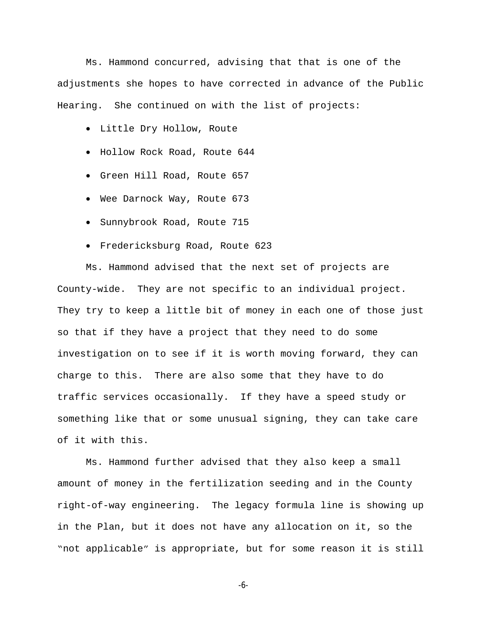Ms. Hammond concurred, advising that that is one of the adjustments she hopes to have corrected in advance of the Public Hearing. She continued on with the list of projects:

- Little Dry Hollow, Route
- Hollow Rock Road, Route 644
- Green Hill Road, Route 657
- Wee Darnock Way, Route 673
- **Sunnybrook Road, Route 715**
- Fredericksburg Road, Route 623

Ms. Hammond advised that the next set of projects are County-wide. They are not specific to an individual project. They try to keep a little bit of money in each one of those just so that if they have a project that they need to do some investigation on to see if it is worth moving forward, they can charge to this. There are also some that they have to do traffic services occasionally. If they have a speed study or something like that or some unusual signing, they can take care of it with this.

Ms. Hammond further advised that they also keep a small amount of money in the fertilization seeding and in the County right-of-way engineering. The legacy formula line is showing up in the Plan, but it does not have any allocation on it, so the "not applicable" is appropriate, but for some reason it is still

-6-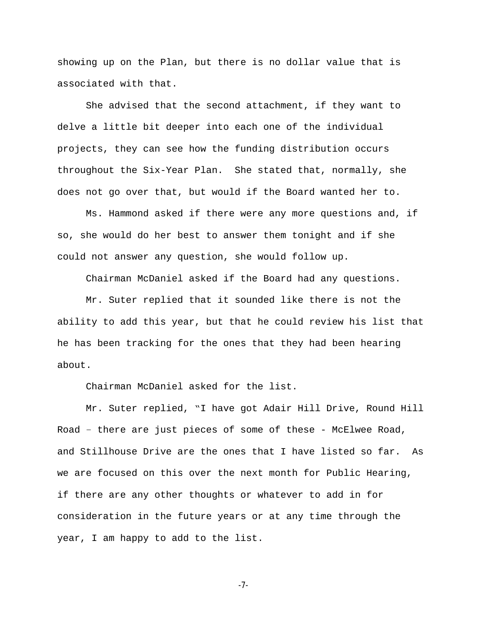showing up on the Plan, but there is no dollar value that is associated with that.

She advised that the second attachment, if they want to delve a little bit deeper into each one of the individual projects, they can see how the funding distribution occurs throughout the Six-Year Plan. She stated that, normally, she does not go over that, but would if the Board wanted her to.

Ms. Hammond asked if there were any more questions and, if so, she would do her best to answer them tonight and if she could not answer any question, she would follow up.

Chairman McDaniel asked if the Board had any questions.

Mr. Suter replied that it sounded like there is not the ability to add this year, but that he could review his list that he has been tracking for the ones that they had been hearing about.

Chairman McDaniel asked for the list.

Mr. Suter replied, "I have got Adair Hill Drive, Round Hill Road – there are just pieces of some of these - McElwee Road, and Stillhouse Drive are the ones that I have listed so far. As we are focused on this over the next month for Public Hearing, if there are any other thoughts or whatever to add in for consideration in the future years or at any time through the year, I am happy to add to the list.

-7-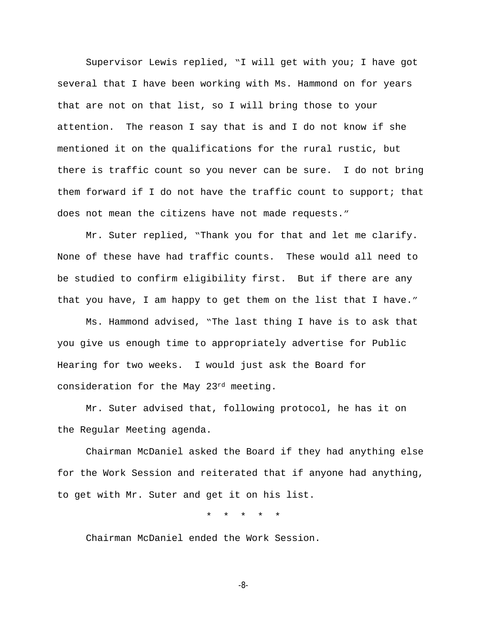Supervisor Lewis replied, "I will get with you; I have got several that I have been working with Ms. Hammond on for years that are not on that list, so I will bring those to your attention. The reason I say that is and I do not know if she mentioned it on the qualifications for the rural rustic, but there is traffic count so you never can be sure. I do not bring them forward if I do not have the traffic count to support; that does not mean the citizens have not made requests."

Mr. Suter replied, "Thank you for that and let me clarify. None of these have had traffic counts. These would all need to be studied to confirm eligibility first. But if there are any that you have, I am happy to get them on the list that I have."

Ms. Hammond advised, "The last thing I have is to ask that you give us enough time to appropriately advertise for Public Hearing for two weeks. I would just ask the Board for consideration for the May 23rd meeting.

Mr. Suter advised that, following protocol, he has it on the Regular Meeting agenda.

Chairman McDaniel asked the Board if they had anything else for the Work Session and reiterated that if anyone had anything, to get with Mr. Suter and get it on his list.

\* \* \* \* \*

Chairman McDaniel ended the Work Session.

-8-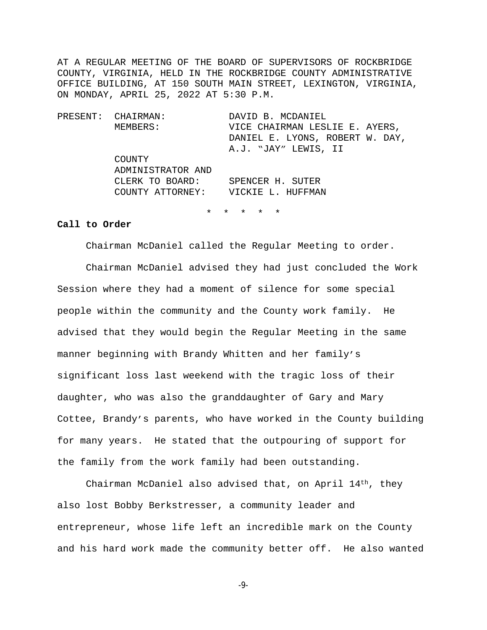AT A REGULAR MEETING OF THE BOARD OF SUPERVISORS OF ROCKBRIDGE COUNTY, VIRGINIA, HELD IN THE ROCKBRIDGE COUNTY ADMINISTRATIVE OFFICE BUILDING, AT 150 SOUTH MAIN STREET, LEXINGTON, VIRGINIA, ON MONDAY, APRIL 25, 2022 AT 5:30 P.M.

PRESENT: CHAIRMAN: DAVID B. MCDANIEL MEMBERS: VICE CHAIRMAN LESLIE E. AYERS, DANIEL E. LYONS, ROBERT W. DAY, A.J. "JAY" LEWIS, II COUNTY ADMINISTRATOR AND CLERK TO BOARD: SPENCER H. SUTER COUNTY ATTORNEY: VICKIE L. HUFFMAN

\* \* \* \* \*

#### **Call to Order**

Chairman McDaniel called the Regular Meeting to order.

Chairman McDaniel advised they had just concluded the Work Session where they had a moment of silence for some special people within the community and the County work family. He advised that they would begin the Regular Meeting in the same manner beginning with Brandy Whitten and her family's significant loss last weekend with the tragic loss of their daughter, who was also the granddaughter of Gary and Mary Cottee, Brandy's parents, who have worked in the County building for many years. He stated that the outpouring of support for the family from the work family had been outstanding.

Chairman McDaniel also advised that, on April  $14<sup>th</sup>$ , they also lost Bobby Berkstresser, a community leader and entrepreneur, whose life left an incredible mark on the County and his hard work made the community better off. He also wanted

-9-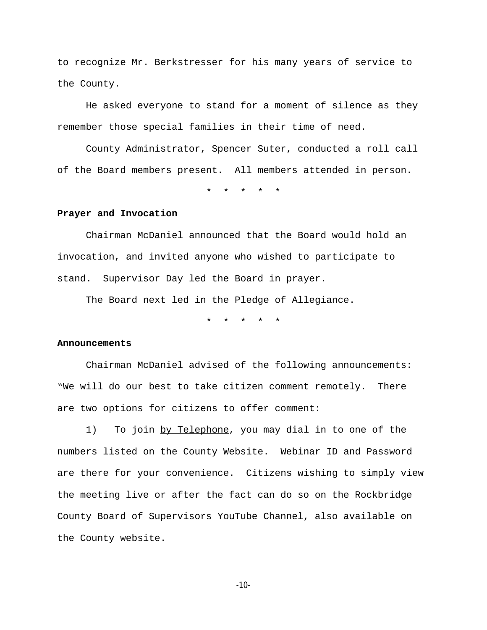to recognize Mr. Berkstresser for his many years of service to the County.

He asked everyone to stand for a moment of silence as they remember those special families in their time of need.

County Administrator, Spencer Suter, conducted a roll call of the Board members present. All members attended in person.

\* \* \* \* \*

#### **Prayer and Invocation**

Chairman McDaniel announced that the Board would hold an invocation, and invited anyone who wished to participate to stand. Supervisor Day led the Board in prayer.

The Board next led in the Pledge of Allegiance.

\* \* \* \* \*

#### **Announcements**

Chairman McDaniel advised of the following announcements: "We will do our best to take citizen comment remotely. There are two options for citizens to offer comment:

1) To join by Telephone, you may dial in to one of the numbers listed on the County Website. Webinar ID and Password are there for your convenience. Citizens wishing to simply view the meeting live or after the fact can do so on the Rockbridge County Board of Supervisors YouTube Channel, also available on the County website.

-10-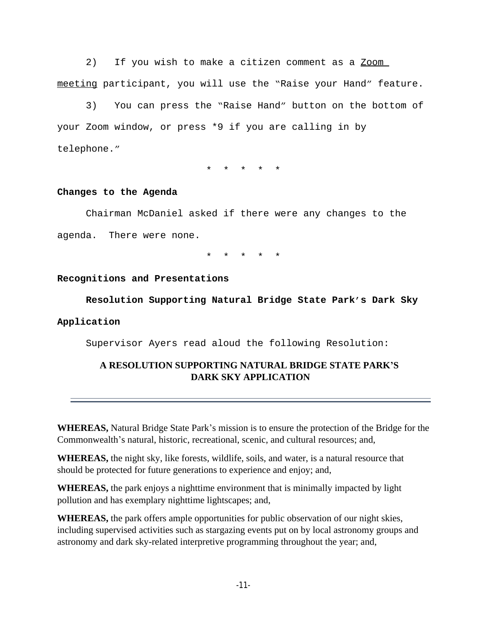2) If you wish to make a citizen comment as a Zoom meeting participant, you will use the "Raise your Hand" feature.

3) You can press the "Raise Hand" button on the bottom of your Zoom window, or press \*9 if you are calling in by telephone."

\* \* \* \* \*

## **Changes to the Agenda**

Chairman McDaniel asked if there were any changes to the agenda. There were none.

\* \* \* \* \*

### **Recognitions and Presentations**

**Resolution Supporting Natural Bridge State Park's Dark Sky** 

## **Application**

Supervisor Ayers read aloud the following Resolution:

# **A RESOLUTION SUPPORTING NATURAL BRIDGE STATE PARK'S DARK SKY APPLICATION**

**WHEREAS,** Natural Bridge State Park's mission is to ensure the protection of the Bridge for the Commonwealth's natural, historic, recreational, scenic, and cultural resources; and,

**WHEREAS,** the night sky, like forests, wildlife, soils, and water, is a natural resource that should be protected for future generations to experience and enjoy; and,

**WHEREAS,** the park enjoys a nighttime environment that is minimally impacted by light pollution and has exemplary nighttime lightscapes; and,

**WHEREAS,** the park offers ample opportunities for public observation of our night skies, including supervised activities such as stargazing events put on by local astronomy groups and astronomy and dark sky-related interpretive programming throughout the year; and,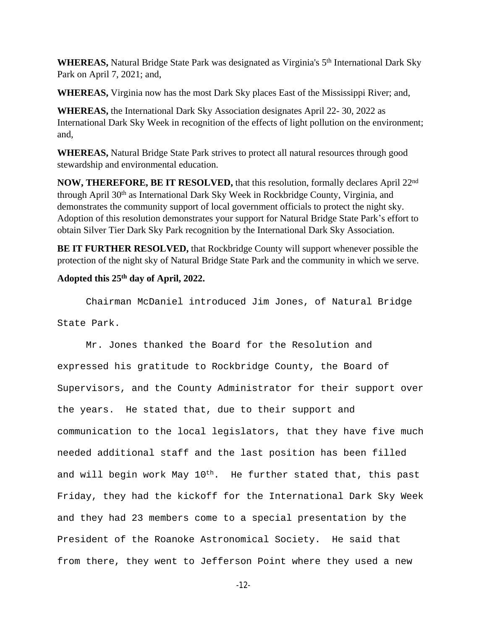**WHEREAS,** Natural Bridge State Park was designated as Virginia's 5<sup>th</sup> International Dark Sky Park on April 7, 2021; and,

**WHEREAS,** Virginia now has the most Dark Sky places East of the Mississippi River; and,

**WHEREAS,** the International Dark Sky Association designates April 22- 30, 2022 as International Dark Sky Week in recognition of the effects of light pollution on the environment; and,

**WHEREAS,** Natural Bridge State Park strives to protect all natural resources through good stewardship and environmental education.

**NOW, THEREFORE, BE IT RESOLVED,** that this resolution, formally declares April 22nd through April 30<sup>th</sup> as International Dark Sky Week in Rockbridge County, Virginia, and demonstrates the community support of local government officials to protect the night sky. Adoption of this resolution demonstrates your support for Natural Bridge State Park's effort to obtain Silver Tier Dark Sky Park recognition by the International Dark Sky Association.

**BE IT FURTHER RESOLVED,** that Rockbridge County will support whenever possible the protection of the night sky of Natural Bridge State Park and the community in which we serve.

## **Adopted this 25th day of April, 2022.**

Chairman McDaniel introduced Jim Jones, of Natural Bridge State Park.

Mr. Jones thanked the Board for the Resolution and expressed his gratitude to Rockbridge County, the Board of Supervisors, and the County Administrator for their support over the years. He stated that, due to their support and communication to the local legislators, that they have five much needed additional staff and the last position has been filled and will begin work May 10<sup>th</sup>. He further stated that, this past Friday, they had the kickoff for the International Dark Sky Week and they had 23 members come to a special presentation by the President of the Roanoke Astronomical Society. He said that from there, they went to Jefferson Point where they used a new

-12-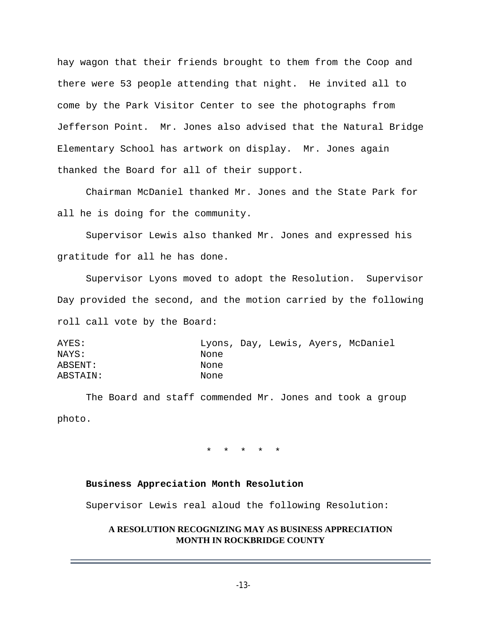hay wagon that their friends brought to them from the Coop and there were 53 people attending that night. He invited all to come by the Park Visitor Center to see the photographs from Jefferson Point. Mr. Jones also advised that the Natural Bridge Elementary School has artwork on display. Mr. Jones again thanked the Board for all of their support.

Chairman McDaniel thanked Mr. Jones and the State Park for all he is doing for the community.

Supervisor Lewis also thanked Mr. Jones and expressed his gratitude for all he has done.

Supervisor Lyons moved to adopt the Resolution. Supervisor Day provided the second, and the motion carried by the following roll call vote by the Board:

AYES: Lyons, Day, Lewis, Ayers, McDaniel NAYS: None ABSENT: None ABSTAIN: None

The Board and staff commended Mr. Jones and took a group photo.

\* \* \* \* \*

### **Business Appreciation Month Resolution**

Supervisor Lewis real aloud the following Resolution:

## **A RESOLUTION RECOGNIZING MAY AS BUSINESS APPRECIATION MONTH IN ROCKBRIDGE COUNTY**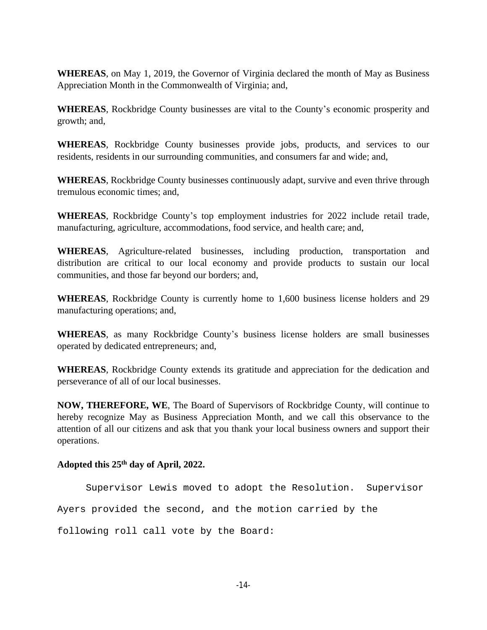**WHEREAS**, on May 1, 2019, the Governor of Virginia declared the month of May as Business Appreciation Month in the Commonwealth of Virginia; and,

**WHEREAS**, Rockbridge County businesses are vital to the County's economic prosperity and growth; and,

**WHEREAS**, Rockbridge County businesses provide jobs, products, and services to our residents, residents in our surrounding communities, and consumers far and wide; and,

**WHEREAS**, Rockbridge County businesses continuously adapt, survive and even thrive through tremulous economic times; and,

**WHEREAS**, Rockbridge County's top employment industries for 2022 include retail trade, manufacturing, agriculture, accommodations, food service, and health care; and,

**WHEREAS**, Agriculture-related businesses, including production, transportation and distribution are critical to our local economy and provide products to sustain our local communities, and those far beyond our borders; and,

**WHEREAS**, Rockbridge County is currently home to 1,600 business license holders and 29 manufacturing operations; and,

**WHEREAS**, as many Rockbridge County's business license holders are small businesses operated by dedicated entrepreneurs; and,

**WHEREAS**, Rockbridge County extends its gratitude and appreciation for the dedication and perseverance of all of our local businesses.

**NOW, THEREFORE, WE**, The Board of Supervisors of Rockbridge County, will continue to hereby recognize May as Business Appreciation Month, and we call this observance to the attention of all our citizens and ask that you thank your local business owners and support their operations.

# **Adopted this 25th day of April, 2022.**

Supervisor Lewis moved to adopt the Resolution. Supervisor

Ayers provided the second, and the motion carried by the

following roll call vote by the Board: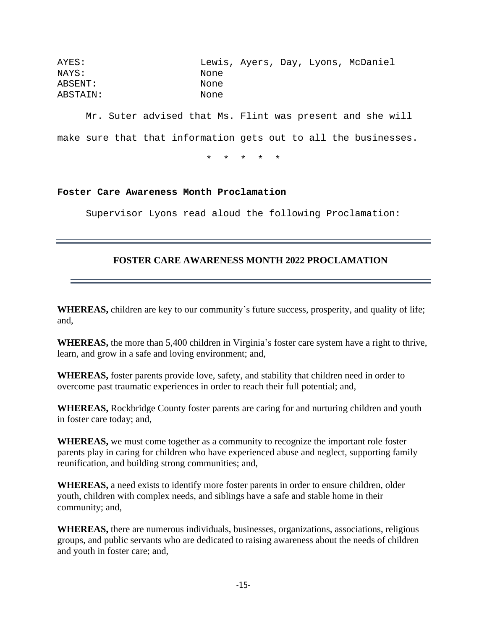| AYES:    |      |  | Lewis, Ayers, Day, Lyons, McDaniel |
|----------|------|--|------------------------------------|
| NAYS:    | None |  |                                    |
| ABSENT:  | None |  |                                    |
| ABSTAIN: | None |  |                                    |

Mr. Suter advised that Ms. Flint was present and she will make sure that that information gets out to all the businesses.

\* \* \* \* \*

## **Foster Care Awareness Month Proclamation**

Supervisor Lyons read aloud the following Proclamation:

# **FOSTER CARE AWARENESS MONTH 2022 PROCLAMATION**

**WHEREAS,** children are key to our community's future success, prosperity, and quality of life; and,

**WHEREAS,** the more than 5,400 children in Virginia's foster care system have a right to thrive, learn, and grow in a safe and loving environment; and,

**WHEREAS,** foster parents provide love, safety, and stability that children need in order to overcome past traumatic experiences in order to reach their full potential; and,

**WHEREAS,** Rockbridge County foster parents are caring for and nurturing children and youth in foster care today; and,

**WHEREAS,** we must come together as a community to recognize the important role foster parents play in caring for children who have experienced abuse and neglect, supporting family reunification, and building strong communities; and,

**WHEREAS,** a need exists to identify more foster parents in order to ensure children, older youth, children with complex needs, and siblings have a safe and stable home in their community; and,

**WHEREAS,** there are numerous individuals, businesses, organizations, associations, religious groups, and public servants who are dedicated to raising awareness about the needs of children and youth in foster care; and,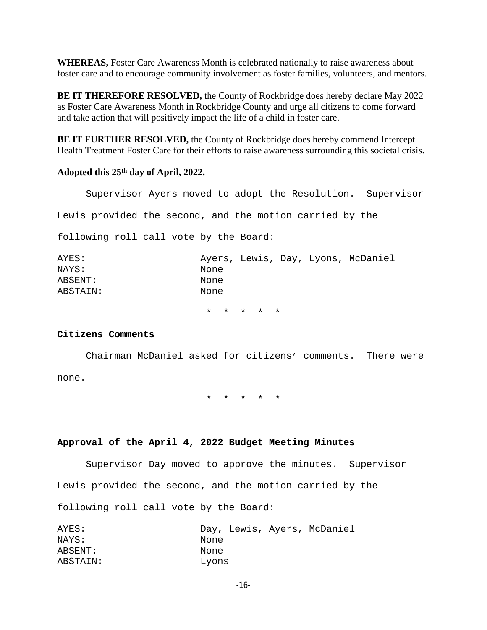**WHEREAS,** Foster Care Awareness Month is celebrated nationally to raise awareness about foster care and to encourage community involvement as foster families, volunteers, and mentors.

**BE IT THEREFORE RESOLVED,** the County of Rockbridge does hereby declare May 2022 as Foster Care Awareness Month in Rockbridge County and urge all citizens to come forward and take action that will positively impact the life of a child in foster care.

**BE IT FURTHER RESOLVED,** the County of Rockbridge does hereby commend Intercept Health Treatment Foster Care for their efforts to raise awareness surrounding this societal crisis.

### **Adopted this 25th day of April, 2022.**

Supervisor Ayers moved to adopt the Resolution. Supervisor Lewis provided the second, and the motion carried by the

following roll call vote by the Board:

| AYES:    |      |  | Ayers, Lewis, Day, Lyons, McDaniel |
|----------|------|--|------------------------------------|
| NAYS:    | None |  |                                    |
| ABSENT:  | None |  |                                    |
| ABSTAIN: | None |  |                                    |
|          |      |  |                                    |

\* \* \* \* \*

### **Citizens Comments**

Chairman McDaniel asked for citizens' comments. There were none.

\* \* \* \* \*

### **Approval of the April 4, 2022 Budget Meeting Minutes**

Supervisor Day moved to approve the minutes. Supervisor Lewis provided the second, and the motion carried by the following roll call vote by the Board:

| AYES:    | Day, Lewis, Ayers, McDaniel |
|----------|-----------------------------|
| NAYS:    | None                        |
| ABSENT:  | None                        |
| ABSTAIN: | Lyons                       |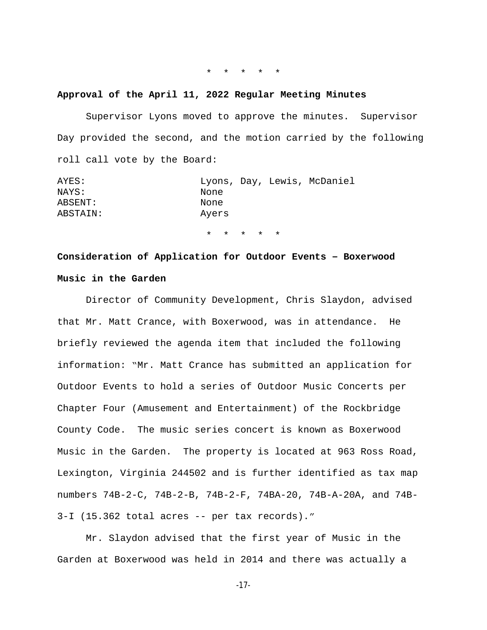#### \* \* \* \* \*

#### **Approval of the April 11, 2022 Regular Meeting Minutes**

Supervisor Lyons moved to approve the minutes. Supervisor Day provided the second, and the motion carried by the following roll call vote by the Board:

| AYES:    | Lyons, Day, Lewis, McDaniel |
|----------|-----------------------------|
| NAYS:    | None                        |
| ABSENT:  | None                        |
| ABSTAIN: | Avers                       |

\* \* \* \* \*

# **Consideration of Application for Outdoor Events – Boxerwood Music in the Garden**

Director of Community Development, Chris Slaydon, advised that Mr. Matt Crance, with Boxerwood, was in attendance. He briefly reviewed the agenda item that included the following information: "Mr. Matt Crance has submitted an application for Outdoor Events to hold a series of Outdoor Music Concerts per Chapter Four (Amusement and Entertainment) of the Rockbridge County Code. The music series concert is known as Boxerwood Music in the Garden. The property is located at 963 Ross Road, Lexington, Virginia 244502 and is further identified as tax map numbers 74B-2-C, 74B-2-B, 74B-2-F, 74BA-20, 74B-A-20A, and 74B-3-I (15.362 total acres -- per tax records)."

Mr. Slaydon advised that the first year of Music in the Garden at Boxerwood was held in 2014 and there was actually a

-17-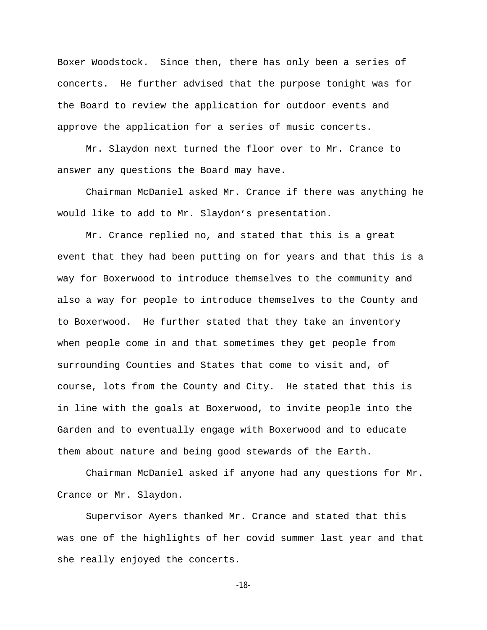Boxer Woodstock. Since then, there has only been a series of concerts. He further advised that the purpose tonight was for the Board to review the application for outdoor events and approve the application for a series of music concerts.

Mr. Slaydon next turned the floor over to Mr. Crance to answer any questions the Board may have.

Chairman McDaniel asked Mr. Crance if there was anything he would like to add to Mr. Slaydon's presentation.

Mr. Crance replied no, and stated that this is a great event that they had been putting on for years and that this is a way for Boxerwood to introduce themselves to the community and also a way for people to introduce themselves to the County and to Boxerwood. He further stated that they take an inventory when people come in and that sometimes they get people from surrounding Counties and States that come to visit and, of course, lots from the County and City. He stated that this is in line with the goals at Boxerwood, to invite people into the Garden and to eventually engage with Boxerwood and to educate them about nature and being good stewards of the Earth.

Chairman McDaniel asked if anyone had any questions for Mr. Crance or Mr. Slaydon.

Supervisor Ayers thanked Mr. Crance and stated that this was one of the highlights of her covid summer last year and that she really enjoyed the concerts.

-18-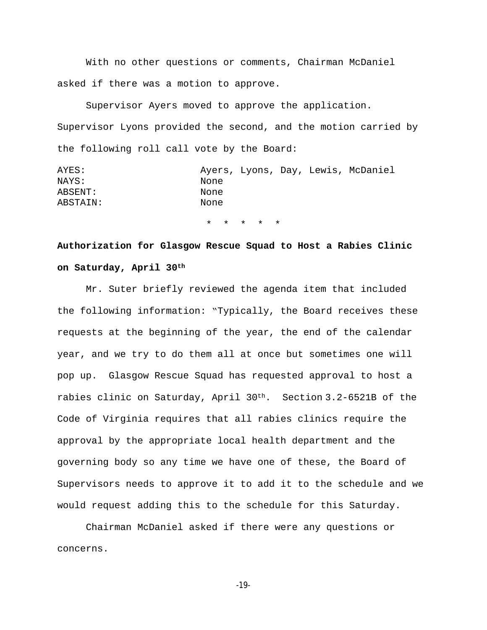With no other questions or comments, Chairman McDaniel asked if there was a motion to approve.

Supervisor Ayers moved to approve the application. Supervisor Lyons provided the second, and the motion carried by the following roll call vote by the Board:

|  | Ayers, Lyons, Day, Lewis, McDaniel |
|--|------------------------------------|

\* \* \* \* \*

# **Authorization for Glasgow Rescue Squad to Host a Rabies Clinic on Saturday, April 30th**

Mr. Suter briefly reviewed the agenda item that included the following information: "Typically, the Board receives these requests at the beginning of the year, the end of the calendar year, and we try to do them all at once but sometimes one will pop up. Glasgow Rescue Squad has requested approval to host a rabies clinic on Saturday, April  $30<sup>th</sup>$ . Section 3.2-6521B of the Code of Virginia requires that all rabies clinics require the approval by the appropriate local health department and the governing body so any time we have one of these, the Board of Supervisors needs to approve it to add it to the schedule and we would request adding this to the schedule for this Saturday.

Chairman McDaniel asked if there were any questions or concerns.

-19-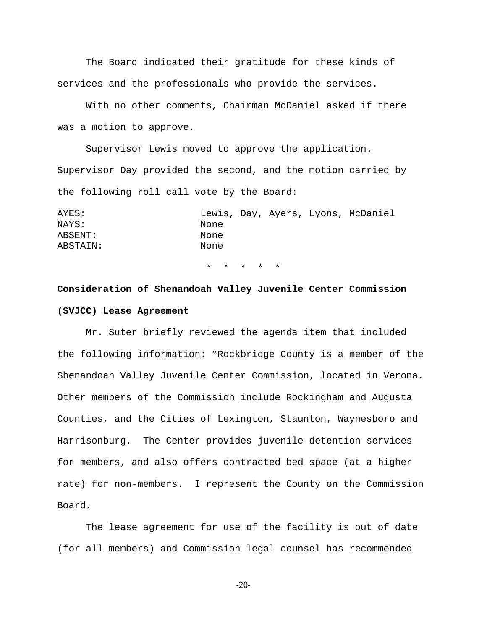The Board indicated their gratitude for these kinds of services and the professionals who provide the services.

With no other comments, Chairman McDaniel asked if there was a motion to approve.

Supervisor Lewis moved to approve the application. Supervisor Day provided the second, and the motion carried by the following roll call vote by the Board:

| AYES:    |      |  | Lewis, Day, Ayers, Lyons, McDaniel |
|----------|------|--|------------------------------------|
| NAYS:    | None |  |                                    |
| ABSENT:  | None |  |                                    |
| ABSTAIN: | None |  |                                    |
|          |      |  |                                    |

\* \* \* \* \*

# **Consideration of Shenandoah Valley Juvenile Center Commission (SVJCC) Lease Agreement**

Mr. Suter briefly reviewed the agenda item that included the following information: "Rockbridge County is a member of the Shenandoah Valley Juvenile Center Commission, located in Verona. Other members of the Commission include Rockingham and Augusta Counties, and the Cities of Lexington, Staunton, Waynesboro and Harrisonburg. The Center provides juvenile detention services for members, and also offers contracted bed space (at a higher rate) for non-members. I represent the County on the Commission Board.

The lease agreement for use of the facility is out of date (for all members) and Commission legal counsel has recommended

-20-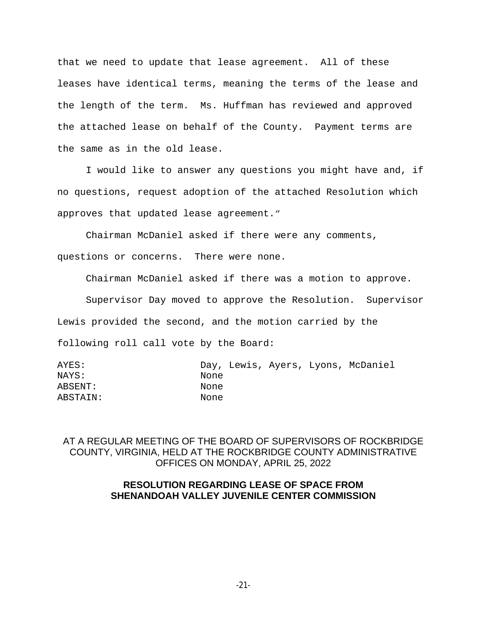that we need to update that lease agreement. All of these leases have identical terms, meaning the terms of the lease and the length of the term. Ms. Huffman has reviewed and approved the attached lease on behalf of the County. Payment terms are the same as in the old lease.

I would like to answer any questions you might have and, if no questions, request adoption of the attached Resolution which approves that updated lease agreement."

Chairman McDaniel asked if there were any comments,

questions or concerns. There were none.

Chairman McDaniel asked if there was a motion to approve.

Supervisor Day moved to approve the Resolution. Supervisor

Lewis provided the second, and the motion carried by the

following roll call vote by the Board:

| AYES:    |      |  | Day, Lewis, Ayers, Lyons, McDaniel |
|----------|------|--|------------------------------------|
| NAYS:    | None |  |                                    |
| ABSENT:  | None |  |                                    |
| ABSTAIN: | None |  |                                    |
|          |      |  |                                    |

AT A REGULAR MEETING OF THE BOARD OF SUPERVISORS OF ROCKBRIDGE COUNTY, VIRGINIA, HELD AT THE ROCKBRIDGE COUNTY ADMINISTRATIVE OFFICES ON MONDAY, APRIL 25, 2022

## **RESOLUTION REGARDING LEASE OF SPACE FROM SHENANDOAH VALLEY JUVENILE CENTER COMMISSION**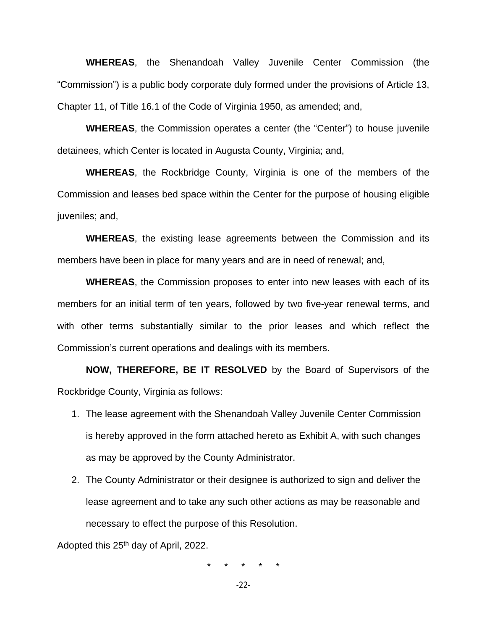**WHEREAS**, the Shenandoah Valley Juvenile Center Commission (the "Commission") is a public body corporate duly formed under the provisions of Article 13, Chapter 11, of Title 16.1 of the Code of Virginia 1950, as amended; and,

**WHEREAS**, the Commission operates a center (the "Center") to house juvenile detainees, which Center is located in Augusta County, Virginia; and,

**WHEREAS**, the Rockbridge County, Virginia is one of the members of the Commission and leases bed space within the Center for the purpose of housing eligible juveniles; and,

**WHEREAS**, the existing lease agreements between the Commission and its members have been in place for many years and are in need of renewal; and,

**WHEREAS**, the Commission proposes to enter into new leases with each of its members for an initial term of ten years, followed by two five-year renewal terms, and with other terms substantially similar to the prior leases and which reflect the Commission's current operations and dealings with its members.

**NOW, THEREFORE, BE IT RESOLVED** by the Board of Supervisors of the Rockbridge County, Virginia as follows:

- 1. The lease agreement with the Shenandoah Valley Juvenile Center Commission is hereby approved in the form attached hereto as Exhibit A, with such changes as may be approved by the County Administrator.
- 2. The County Administrator or their designee is authorized to sign and deliver the lease agreement and to take any such other actions as may be reasonable and necessary to effect the purpose of this Resolution.

Adopted this 25<sup>th</sup> day of April, 2022.

\* \* \* \* \*

-22-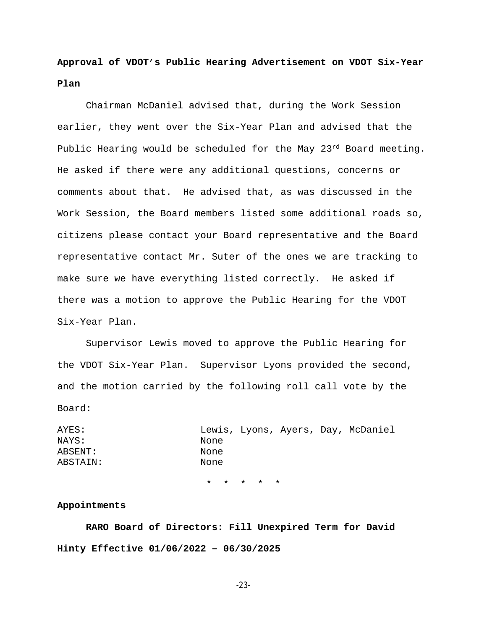**Approval of VDOT's Public Hearing Advertisement on VDOT Six-Year Plan**

Chairman McDaniel advised that, during the Work Session earlier, they went over the Six-Year Plan and advised that the Public Hearing would be scheduled for the May  $23^{rd}$  Board meeting. He asked if there were any additional questions, concerns or comments about that. He advised that, as was discussed in the Work Session, the Board members listed some additional roads so, citizens please contact your Board representative and the Board representative contact Mr. Suter of the ones we are tracking to make sure we have everything listed correctly. He asked if there was a motion to approve the Public Hearing for the VDOT Six-Year Plan.

Supervisor Lewis moved to approve the Public Hearing for the VDOT Six-Year Plan. Supervisor Lyons provided the second, and the motion carried by the following roll call vote by the Board:

AYES: Lewis, Lyons, Ayers, Day, McDaniel NAYS: None ABSENT: None ABSTAIN: None

\* \* \* \* \*

### **Appointments**

**RARO Board of Directors: Fill Unexpired Term for David Hinty Effective 01/06/2022 – 06/30/2025**

-23-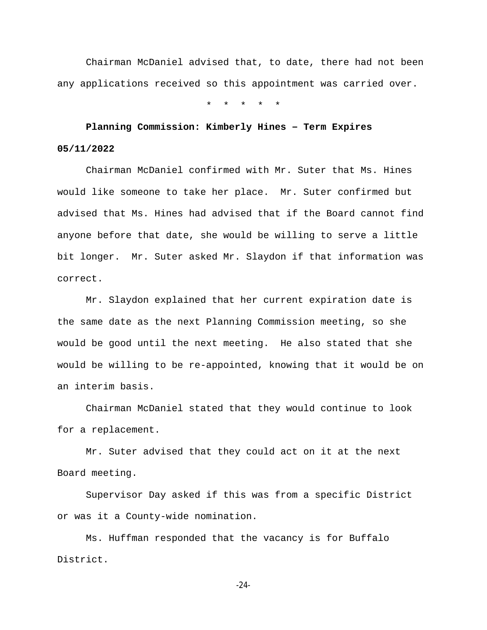Chairman McDaniel advised that, to date, there had not been any applications received so this appointment was carried over.

\* \* \* \* \*

# **Planning Commission: Kimberly Hines – Term Expires 05/11/2022**

Chairman McDaniel confirmed with Mr. Suter that Ms. Hines would like someone to take her place. Mr. Suter confirmed but advised that Ms. Hines had advised that if the Board cannot find anyone before that date, she would be willing to serve a little bit longer. Mr. Suter asked Mr. Slaydon if that information was correct.

Mr. Slaydon explained that her current expiration date is the same date as the next Planning Commission meeting, so she would be good until the next meeting. He also stated that she would be willing to be re-appointed, knowing that it would be on an interim basis.

Chairman McDaniel stated that they would continue to look for a replacement.

Mr. Suter advised that they could act on it at the next Board meeting.

Supervisor Day asked if this was from a specific District or was it a County-wide nomination.

Ms. Huffman responded that the vacancy is for Buffalo District.

-24-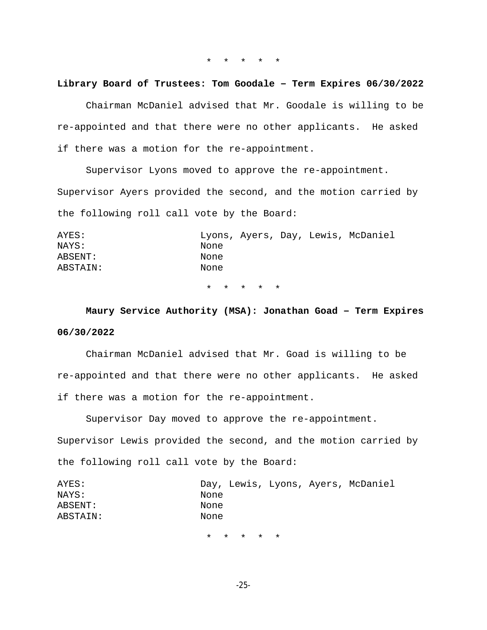\* \* \* \* \*

#### **Library Board of Trustees: Tom Goodale – Term Expires 06/30/2022**

Chairman McDaniel advised that Mr. Goodale is willing to be re-appointed and that there were no other applicants. He asked if there was a motion for the re-appointment.

Supervisor Lyons moved to approve the re-appointment. Supervisor Ayers provided the second, and the motion carried by the following roll call vote by the Board:

| AYES:    |      |  | Lyons, Ayers, Day, Lewis, McDaniel |
|----------|------|--|------------------------------------|
| NAYS:    | None |  |                                    |
| ABSENT:  | None |  |                                    |
| ABSTAIN: | None |  |                                    |
|          |      |  |                                    |

\* \* \* \* \*

**Maury Service Authority (MSA): Jonathan Goad – Term Expires 06/30/2022**

Chairman McDaniel advised that Mr. Goad is willing to be re-appointed and that there were no other applicants. He asked if there was a motion for the re-appointment.

Supervisor Day moved to approve the re-appointment.

Supervisor Lewis provided the second, and the motion carried by the following roll call vote by the Board:

| AYES:    |      |  | Day, Lewis, Lyons, Ayers, McDaniel |
|----------|------|--|------------------------------------|
| NAYS:    | None |  |                                    |
| ABSENT:  | None |  |                                    |
| ABSTAIN: | None |  |                                    |
|          |      |  |                                    |

\* \* \* \* \*

-25-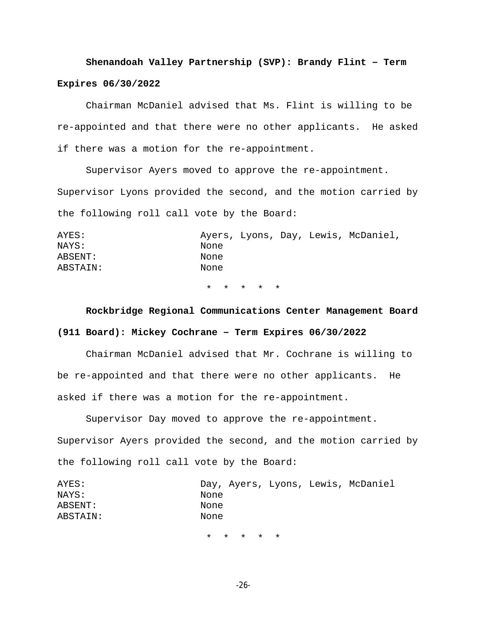# **Shenandoah Valley Partnership (SVP): Brandy Flint – Term**

## **Expires 06/30/2022**

Chairman McDaniel advised that Ms. Flint is willing to be re-appointed and that there were no other applicants. He asked if there was a motion for the re-appointment.

Supervisor Ayers moved to approve the re-appointment. Supervisor Lyons provided the second, and the motion carried by the following roll call vote by the Board:

| AYES:    |      |  | Ayers, Lyons, Day, Lewis, McDaniel, |
|----------|------|--|-------------------------------------|
| NAYS:    | None |  |                                     |
| ABSENT:  | None |  |                                     |
| ABSTAIN: | None |  |                                     |

\* \* \* \* \*

# **Rockbridge Regional Communications Center Management Board (911 Board): Mickey Cochrane – Term Expires 06/30/2022**

Chairman McDaniel advised that Mr. Cochrane is willing to be re-appointed and that there were no other applicants. He asked if there was a motion for the re-appointment.

Supervisor Day moved to approve the re-appointment. Supervisor Ayers provided the second, and the motion carried by the following roll call vote by the Board:

| AYES:    |      |  | Day, Ayers, Lyons, Lewis, McDaniel |
|----------|------|--|------------------------------------|
| NAYS:    | None |  |                                    |
| ABSENT:  | None |  |                                    |
| ABSTAIN: | None |  |                                    |
|          |      |  |                                    |

\* \* \* \* \*

-26-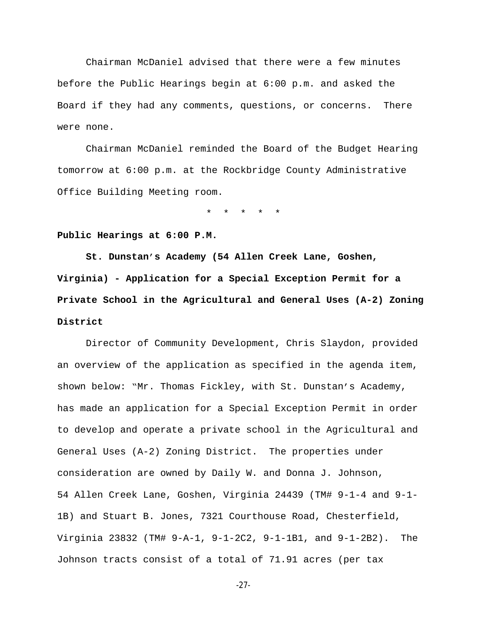Chairman McDaniel advised that there were a few minutes before the Public Hearings begin at 6:00 p.m. and asked the Board if they had any comments, questions, or concerns. There were none.

Chairman McDaniel reminded the Board of the Budget Hearing tomorrow at 6:00 p.m. at the Rockbridge County Administrative Office Building Meeting room.

\* \* \* \* \*

**Public Hearings at 6:00 P.M.**

**St. Dunstan's Academy (54 Allen Creek Lane, Goshen, Virginia) - Application for a Special Exception Permit for a Private School in the Agricultural and General Uses (A-2) Zoning District**

 Director of Community Development, Chris Slaydon, provided an overview of the application as specified in the agenda item, shown below: "Mr. Thomas Fickley, with St. Dunstan's Academy, has made an application for a Special Exception Permit in order to develop and operate a private school in the Agricultural and General Uses (A-2) Zoning District. The properties under consideration are owned by Daily W. and Donna J. Johnson, 54 Allen Creek Lane, Goshen, Virginia 24439 (TM# 9-1-4 and 9-1- 1B) and Stuart B. Jones, 7321 Courthouse Road, Chesterfield, Virginia 23832 (TM# 9-A-1, 9-1-2C2, 9-1-1B1, and 9-1-2B2). The Johnson tracts consist of a total of 71.91 acres (per tax

-27-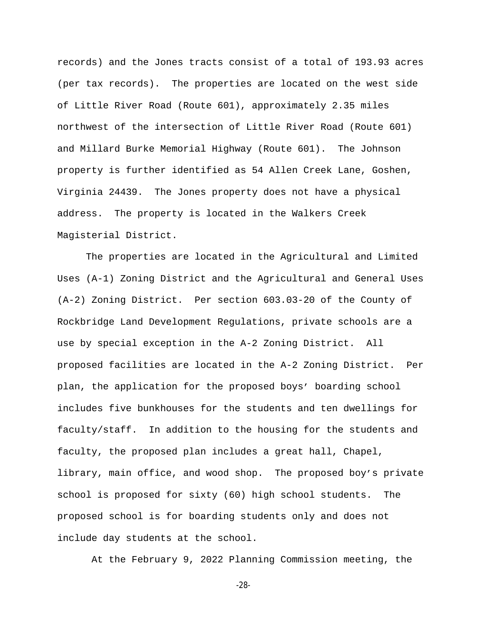records) and the Jones tracts consist of a total of 193.93 acres (per tax records). The properties are located on the west side of Little River Road (Route 601), approximately 2.35 miles northwest of the intersection of Little River Road (Route 601) and Millard Burke Memorial Highway (Route 601). The Johnson property is further identified as 54 Allen Creek Lane, Goshen, Virginia 24439. The Jones property does not have a physical address. The property is located in the Walkers Creek Magisterial District.

 The properties are located in the Agricultural and Limited Uses (A-1) Zoning District and the Agricultural and General Uses (A-2) Zoning District. Per section 603.03-20 of the County of Rockbridge Land Development Regulations, private schools are a use by special exception in the A-2 Zoning District. All proposed facilities are located in the A-2 Zoning District. Per plan, the application for the proposed boys' boarding school includes five bunkhouses for the students and ten dwellings for faculty/staff. In addition to the housing for the students and faculty, the proposed plan includes a great hall, Chapel, library, main office, and wood shop. The proposed boy's private school is proposed for sixty (60) high school students. The proposed school is for boarding students only and does not include day students at the school.

At the February 9, 2022 Planning Commission meeting, the

-28-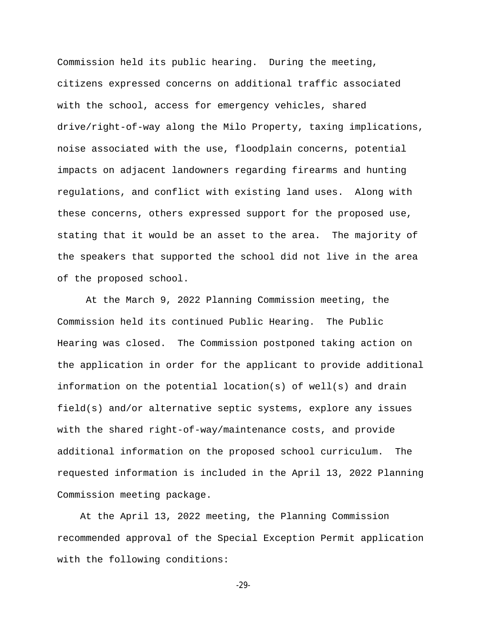Commission held its public hearing. During the meeting, citizens expressed concerns on additional traffic associated with the school, access for emergency vehicles, shared drive/right-of-way along the Milo Property, taxing implications, noise associated with the use, floodplain concerns, potential impacts on adjacent landowners regarding firearms and hunting regulations, and conflict with existing land uses. Along with these concerns, others expressed support for the proposed use, stating that it would be an asset to the area. The majority of the speakers that supported the school did not live in the area of the proposed school.

 At the March 9, 2022 Planning Commission meeting, the Commission held its continued Public Hearing. The Public Hearing was closed. The Commission postponed taking action on the application in order for the applicant to provide additional information on the potential location(s) of well(s) and drain field(s) and/or alternative septic systems, explore any issues with the shared right-of-way/maintenance costs, and provide additional information on the proposed school curriculum. The requested information is included in the April 13, 2022 Planning Commission meeting package.

 At the April 13, 2022 meeting, the Planning Commission recommended approval of the Special Exception Permit application with the following conditions:

-29-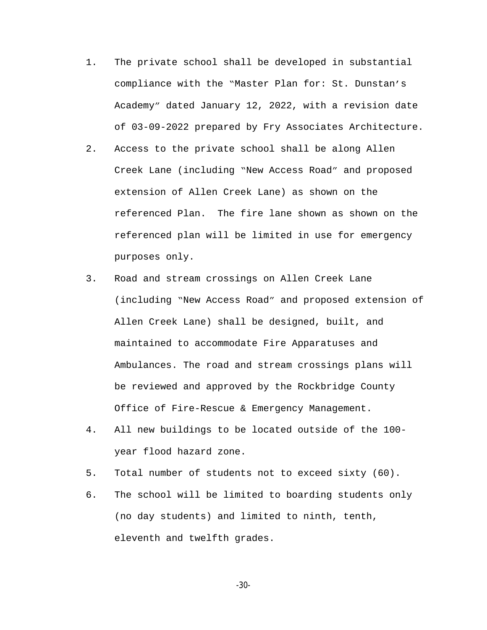- 1. The private school shall be developed in substantial compliance with the "Master Plan for: St. Dunstan's Academy" dated January 12, 2022, with a revision date of 03-09-2022 prepared by Fry Associates Architecture.
- 2. Access to the private school shall be along Allen Creek Lane (including "New Access Road" and proposed extension of Allen Creek Lane) as shown on the referenced Plan. The fire lane shown as shown on the referenced plan will be limited in use for emergency purposes only.
- 3. Road and stream crossings on Allen Creek Lane (including "New Access Road" and proposed extension of Allen Creek Lane) shall be designed, built, and maintained to accommodate Fire Apparatuses and Ambulances. The road and stream crossings plans will be reviewed and approved by the Rockbridge County Office of Fire-Rescue & Emergency Management.
- 4. All new buildings to be located outside of the 100 year flood hazard zone.
- 5. Total number of students not to exceed sixty (60).
- 6. The school will be limited to boarding students only (no day students) and limited to ninth, tenth, eleventh and twelfth grades.

-30-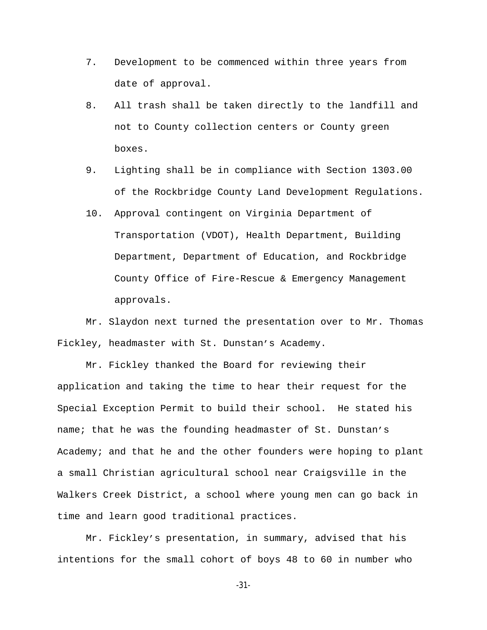- 7. Development to be commenced within three years from date of approval.
- 8. All trash shall be taken directly to the landfill and not to County collection centers or County green boxes.
- 9. Lighting shall be in compliance with Section 1303.00 of the Rockbridge County Land Development Regulations.
- 10. Approval contingent on Virginia Department of Transportation (VDOT), Health Department, Building Department, Department of Education, and Rockbridge County Office of Fire-Rescue & Emergency Management approvals.

Mr. Slaydon next turned the presentation over to Mr. Thomas Fickley, headmaster with St. Dunstan's Academy.

Mr. Fickley thanked the Board for reviewing their application and taking the time to hear their request for the Special Exception Permit to build their school. He stated his name; that he was the founding headmaster of St. Dunstan's Academy; and that he and the other founders were hoping to plant a small Christian agricultural school near Craigsville in the Walkers Creek District, a school where young men can go back in time and learn good traditional practices.

Mr. Fickley's presentation, in summary, advised that his intentions for the small cohort of boys 48 to 60 in number who

-31-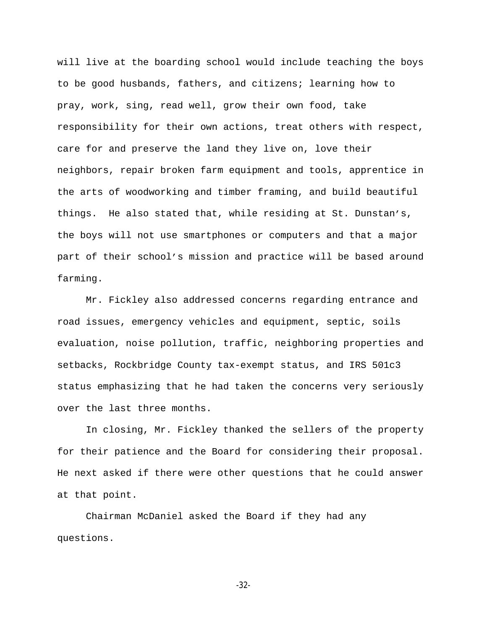will live at the boarding school would include teaching the boys to be good husbands, fathers, and citizens; learning how to pray, work, sing, read well, grow their own food, take responsibility for their own actions, treat others with respect, care for and preserve the land they live on, love their neighbors, repair broken farm equipment and tools, apprentice in the arts of woodworking and timber framing, and build beautiful things. He also stated that, while residing at St. Dunstan's, the boys will not use smartphones or computers and that a major part of their school's mission and practice will be based around farming.

Mr. Fickley also addressed concerns regarding entrance and road issues, emergency vehicles and equipment, septic, soils evaluation, noise pollution, traffic, neighboring properties and setbacks, Rockbridge County tax-exempt status, and IRS 501c3 status emphasizing that he had taken the concerns very seriously over the last three months.

In closing, Mr. Fickley thanked the sellers of the property for their patience and the Board for considering their proposal. He next asked if there were other questions that he could answer at that point.

Chairman McDaniel asked the Board if they had any questions.

-32-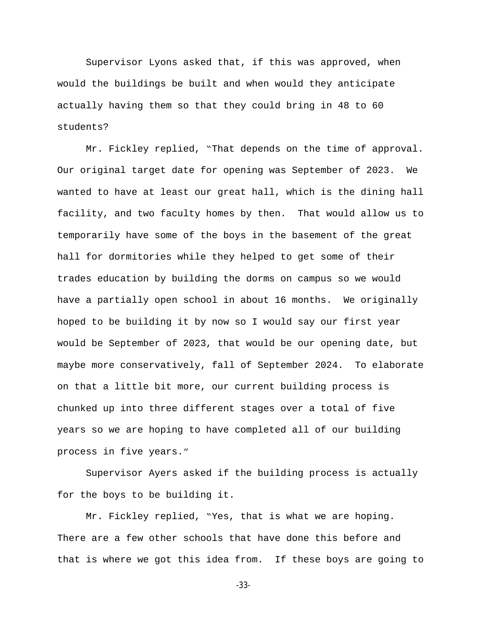Supervisor Lyons asked that, if this was approved, when would the buildings be built and when would they anticipate actually having them so that they could bring in 48 to 60 students?

Mr. Fickley replied, "That depends on the time of approval. Our original target date for opening was September of 2023. We wanted to have at least our great hall, which is the dining hall facility, and two faculty homes by then. That would allow us to temporarily have some of the boys in the basement of the great hall for dormitories while they helped to get some of their trades education by building the dorms on campus so we would have a partially open school in about 16 months. We originally hoped to be building it by now so I would say our first year would be September of 2023, that would be our opening date, but maybe more conservatively, fall of September 2024. To elaborate on that a little bit more, our current building process is chunked up into three different stages over a total of five years so we are hoping to have completed all of our building process in five years."

Supervisor Ayers asked if the building process is actually for the boys to be building it.

Mr. Fickley replied, "Yes, that is what we are hoping. There are a few other schools that have done this before and that is where we got this idea from. If these boys are going to

-33-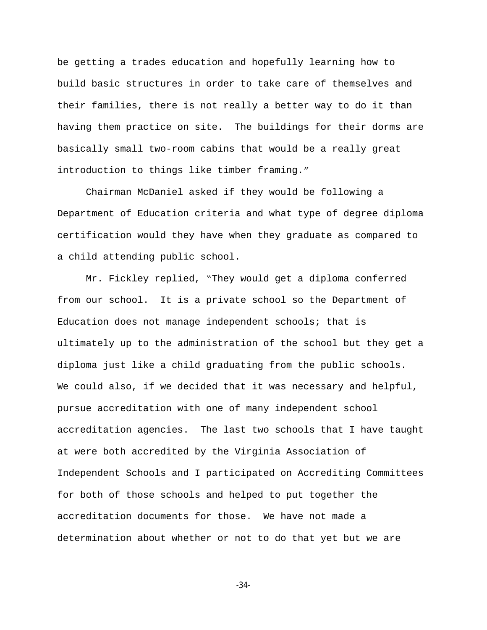be getting a trades education and hopefully learning how to build basic structures in order to take care of themselves and their families, there is not really a better way to do it than having them practice on site. The buildings for their dorms are basically small two-room cabins that would be a really great introduction to things like timber framing."

Chairman McDaniel asked if they would be following a Department of Education criteria and what type of degree diploma certification would they have when they graduate as compared to a child attending public school.

Mr. Fickley replied, "They would get a diploma conferred from our school. It is a private school so the Department of Education does not manage independent schools; that is ultimately up to the administration of the school but they get a diploma just like a child graduating from the public schools. We could also, if we decided that it was necessary and helpful, pursue accreditation with one of many independent school accreditation agencies. The last two schools that I have taught at were both accredited by the Virginia Association of Independent Schools and I participated on Accrediting Committees for both of those schools and helped to put together the accreditation documents for those. We have not made a determination about whether or not to do that yet but we are

-34-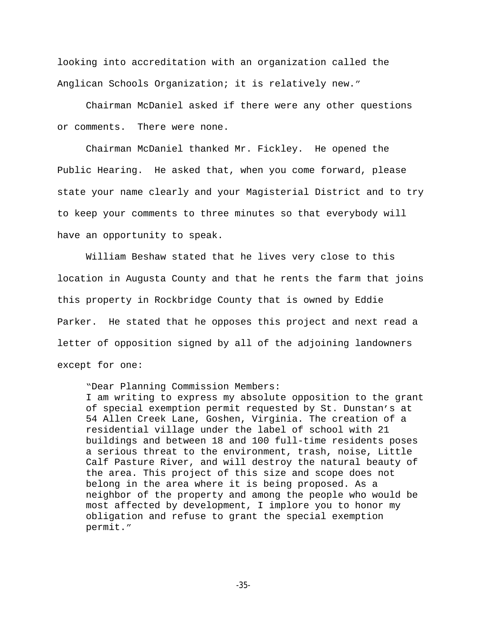looking into accreditation with an organization called the Anglican Schools Organization; it is relatively new."

Chairman McDaniel asked if there were any other questions or comments. There were none.

Chairman McDaniel thanked Mr. Fickley. He opened the Public Hearing. He asked that, when you come forward, please state your name clearly and your Magisterial District and to try to keep your comments to three minutes so that everybody will have an opportunity to speak.

William Beshaw stated that he lives very close to this location in Augusta County and that he rents the farm that joins this property in Rockbridge County that is owned by Eddie Parker. He stated that he opposes this project and next read a letter of opposition signed by all of the adjoining landowners except for one:

"Dear Planning Commission Members:

I am writing to express my absolute opposition to the grant of special exemption permit requested by St. Dunstan's at 54 Allen Creek Lane, Goshen, Virginia. The creation of a residential village under the label of school with 21 buildings and between 18 and 100 full-time residents poses a serious threat to the environment, trash, noise, Little Calf Pasture River, and will destroy the natural beauty of the area. This project of this size and scope does not belong in the area where it is being proposed. As a neighbor of the property and among the people who would be most affected by development, I implore you to honor my obligation and refuse to grant the special exemption permit."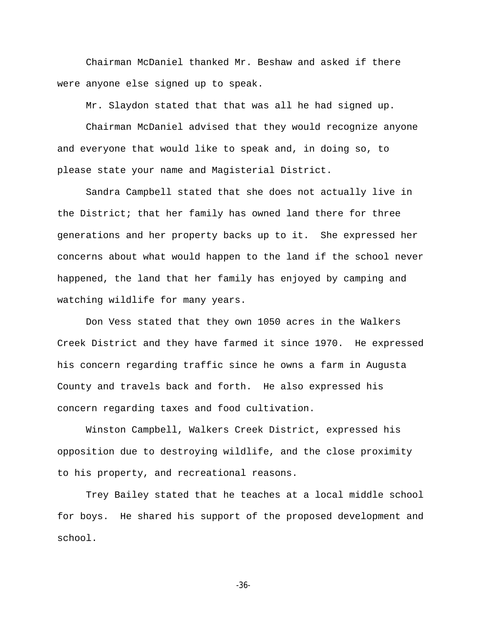Chairman McDaniel thanked Mr. Beshaw and asked if there were anyone else signed up to speak.

Mr. Slaydon stated that that was all he had signed up.

Chairman McDaniel advised that they would recognize anyone and everyone that would like to speak and, in doing so, to please state your name and Magisterial District.

Sandra Campbell stated that she does not actually live in the District; that her family has owned land there for three generations and her property backs up to it. She expressed her concerns about what would happen to the land if the school never happened, the land that her family has enjoyed by camping and watching wildlife for many years.

Don Vess stated that they own 1050 acres in the Walkers Creek District and they have farmed it since 1970. He expressed his concern regarding traffic since he owns a farm in Augusta County and travels back and forth. He also expressed his concern regarding taxes and food cultivation.

Winston Campbell, Walkers Creek District, expressed his opposition due to destroying wildlife, and the close proximity to his property, and recreational reasons.

Trey Bailey stated that he teaches at a local middle school for boys. He shared his support of the proposed development and school.

-36-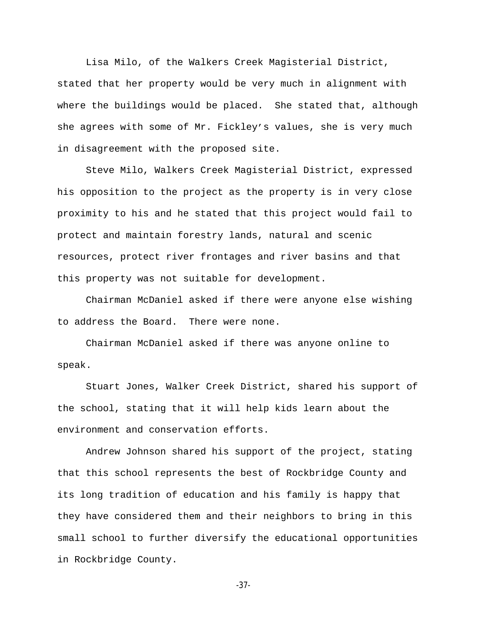Lisa Milo, of the Walkers Creek Magisterial District, stated that her property would be very much in alignment with where the buildings would be placed. She stated that, although she agrees with some of Mr. Fickley's values, she is very much in disagreement with the proposed site.

Steve Milo, Walkers Creek Magisterial District, expressed his opposition to the project as the property is in very close proximity to his and he stated that this project would fail to protect and maintain forestry lands, natural and scenic resources, protect river frontages and river basins and that this property was not suitable for development.

Chairman McDaniel asked if there were anyone else wishing to address the Board. There were none.

Chairman McDaniel asked if there was anyone online to speak.

Stuart Jones, Walker Creek District, shared his support of the school, stating that it will help kids learn about the environment and conservation efforts.

Andrew Johnson shared his support of the project, stating that this school represents the best of Rockbridge County and its long tradition of education and his family is happy that they have considered them and their neighbors to bring in this small school to further diversify the educational opportunities in Rockbridge County.

-37-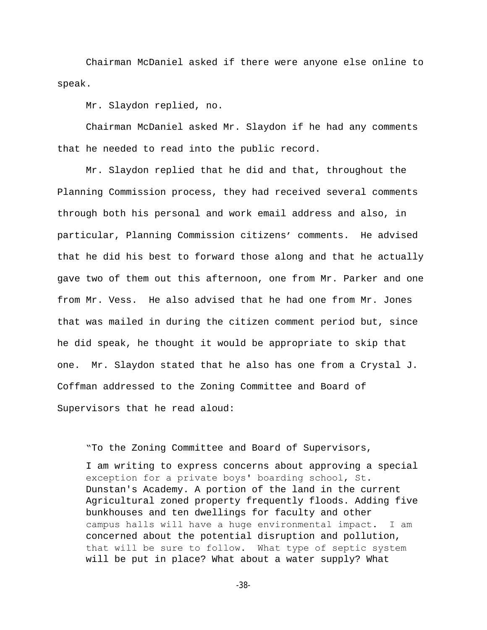Chairman McDaniel asked if there were anyone else online to speak.

Mr. Slaydon replied, no.

Chairman McDaniel asked Mr. Slaydon if he had any comments that he needed to read into the public record.

Mr. Slaydon replied that he did and that, throughout the Planning Commission process, they had received several comments through both his personal and work email address and also, in particular, Planning Commission citizens' comments. He advised that he did his best to forward those along and that he actually gave two of them out this afternoon, one from Mr. Parker and one from Mr. Vess. He also advised that he had one from Mr. Jones that was mailed in during the citizen comment period but, since he did speak, he thought it would be appropriate to skip that one. Mr. Slaydon stated that he also has one from a Crystal J. Coffman addressed to the Zoning Committee and Board of Supervisors that he read aloud:

"To the Zoning Committee and Board of Supervisors, I am writing to express concerns about approving a special exception for a private boys' boarding school, St. Dunstan's Academy. A portion of the land in the current Agricultural zoned property frequently floods. Adding five bunkhouses and ten dwellings for faculty and other campus halls will have a huge environmental impact. I am concerned about the potential disruption and pollution, that will be sure to follow. What type of septic system will be put in place? What about a water supply? What

-38-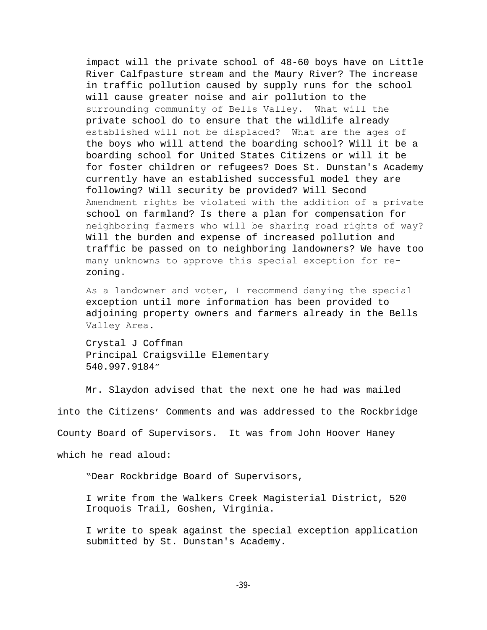impact will the private school of 48-60 boys have on Little River Calfpasture stream and the Maury River? The increase in traffic pollution caused by supply runs for the school will cause greater noise and air pollution to the surrounding community of Bells Valley. What will the private school do to ensure that the wildlife already established will not be displaced? What are the ages of the boys who will attend the boarding school? Will it be a boarding school for United States Citizens or will it be for foster children or refugees? Does St. Dunstan's Academy currently have an established successful model they are following? Will security be provided? Will Second Amendment rights be violated with the addition of a private school on farmland? Is there a plan for compensation for neighboring farmers who will be sharing road rights of way? Will the burden and expense of increased pollution and traffic be passed on to neighboring landowners? We have too many unknowns to approve this special exception for rezoning.

As a landowner and voter, I recommend denying the special exception until more information has been provided to adjoining property owners and farmers already in the Bells Valley Area.

Crystal J Coffman Principal Craigsville Elementary 540.997.9184"

Mr. Slaydon advised that the next one he had was mailed

into the Citizens' Comments and was addressed to the Rockbridge

County Board of Supervisors. It was from John Hoover Haney

which he read aloud:

"Dear Rockbridge Board of Supervisors,

I write from the Walkers Creek Magisterial District, 520 Iroquois Trail, Goshen, Virginia.

I write to speak against the special exception application submitted by St. Dunstan's Academy.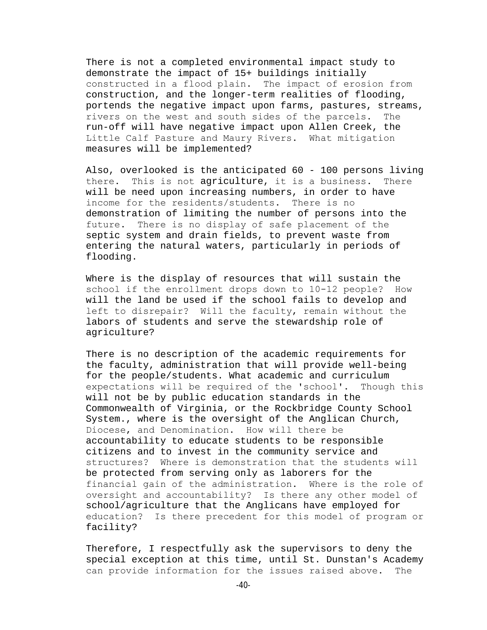There is not a completed environmental impact study to demonstrate the impact of 15+ buildings initially constructed in a flood plain. The impact of erosion from construction, and the longer-term realities of flooding, portends the negative impact upon farms, pastures, streams, rivers on the west and south sides of the parcels. The run-off will have negative impact upon Allen Creek, the Little Calf Pasture and Maury Rivers. What mitigation measures will be implemented?

Also, overlooked is the anticipated 60 - 100 persons living there. This is not agriculture, it is a business. There will be need upon increasing numbers, in order to have income for the residents/students. There is no demonstration of limiting the number of persons into the future. There is no display of safe placement of the septic system and drain fields, to prevent waste from entering the natural waters, particularly in periods of flooding.

Where is the display of resources that will sustain the school if the enrollment drops down to 10-12 people? How will the land be used if the school fails to develop and left to disrepair? Will the faculty, remain without the labors of students and serve the stewardship role of agriculture?

There is no description of the academic requirements for the faculty, administration that will provide well-being for the people/students. What academic and curriculum expectations will be required of the 'school'. Though this will not be by public education standards in the Commonwealth of Virginia, or the Rockbridge County School System., where is the oversight of the Anglican Church, Diocese, and Denomination. How will there be accountability to educate students to be responsible citizens and to invest in the community service and structures? Where is demonstration that the students will be protected from serving only as laborers for the financial gain of the administration. Where is the role of oversight and accountability? Is there any other model of school/agriculture that the Anglicans have employed for education? Is there precedent for this model of program or facility?

Therefore, I respectfully ask the supervisors to deny the special exception at this time, until St. Dunstan's Academy can provide information for the issues raised above. The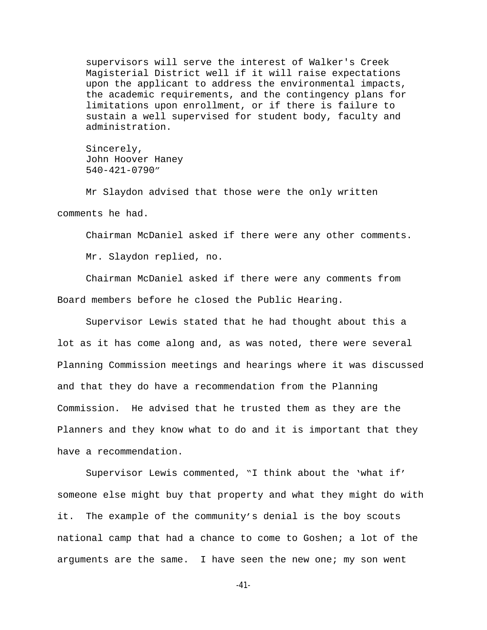supervisors will serve the interest of Walker's Creek Magisterial District well if it will raise expectations upon the applicant to address the environmental impacts, the academic requirements, and the contingency plans for limitations upon enrollment, or if there is failure to sustain a well supervised for student body, faculty and administration.

Sincerely, John Hoover Haney 540-421-0790"

Mr Slaydon advised that those were the only written comments he had.

Chairman McDaniel asked if there were any other comments.

Mr. Slaydon replied, no.

Chairman McDaniel asked if there were any comments from Board members before he closed the Public Hearing.

Supervisor Lewis stated that he had thought about this a lot as it has come along and, as was noted, there were several Planning Commission meetings and hearings where it was discussed and that they do have a recommendation from the Planning Commission. He advised that he trusted them as they are the Planners and they know what to do and it is important that they have a recommendation.

Supervisor Lewis commented, "I think about the 'what if' someone else might buy that property and what they might do with it. The example of the community's denial is the boy scouts national camp that had a chance to come to Goshen; a lot of the arguments are the same. I have seen the new one; my son went

-41-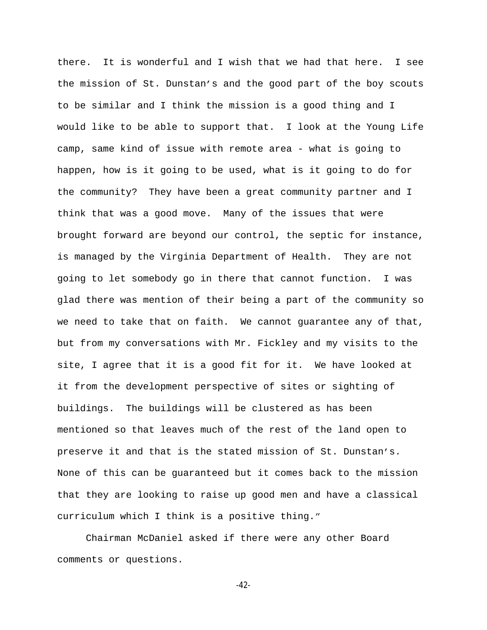there. It is wonderful and I wish that we had that here. I see the mission of St. Dunstan's and the good part of the boy scouts to be similar and I think the mission is a good thing and I would like to be able to support that. I look at the Young Life camp, same kind of issue with remote area - what is going to happen, how is it going to be used, what is it going to do for the community? They have been a great community partner and I think that was a good move. Many of the issues that were brought forward are beyond our control, the septic for instance, is managed by the Virginia Department of Health. They are not going to let somebody go in there that cannot function. I was glad there was mention of their being a part of the community so we need to take that on faith. We cannot guarantee any of that, but from my conversations with Mr. Fickley and my visits to the site, I agree that it is a good fit for it. We have looked at it from the development perspective of sites or sighting of buildings. The buildings will be clustered as has been mentioned so that leaves much of the rest of the land open to preserve it and that is the stated mission of St. Dunstan's. None of this can be guaranteed but it comes back to the mission that they are looking to raise up good men and have a classical curriculum which I think is a positive thing."

Chairman McDaniel asked if there were any other Board comments or questions.

-42-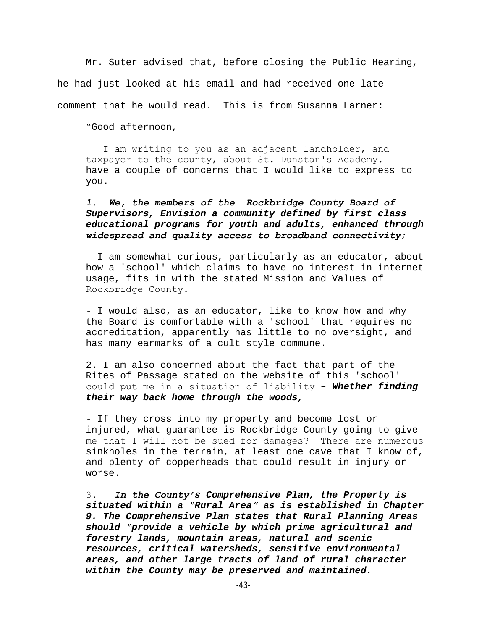Mr. Suter advised that, before closing the Public Hearing, he had just looked at his email and had received one late comment that he would read. This is from Susanna Larner:

"Good afternoon,

 I am writing to you as an adjacent landholder, and taxpayer to the county, about St. Dunstan's Academy. I have a couple of concerns that I would like to express to you.

*1. We, the members of the Rockbridge County Board of Supervisors, Envision a community defined by first class educational programs for youth and adults, enhanced through widespread and quality access to broadband connectivity;* 

- I am somewhat curious, particularly as an educator, about how a 'school' which claims to have no interest in internet usage, fits in with the stated Mission and Values of Rockbridge County.

- I would also, as an educator, like to know how and why the Board is comfortable with a 'school' that requires no accreditation, apparently has little to no oversight, and has many earmarks of a cult style commune.

2. I am also concerned about the fact that part of the Rites of Passage stated on the website of this 'school' could put me in a situation of liability - *Whether finding their way back home through the woods,*

- If they cross into my property and become lost or injured, what guarantee is Rockbridge County going to give me that I will not be sued for damages? There are numerous sinkholes in the terrain, at least one cave that I know of, and plenty of copperheads that could result in injury or worse.

3. *In the County's Comprehensive Plan, the Property is situated within a "Rural Area" as is established in Chapter 9. The Comprehensive Plan states that Rural Planning Areas should "provide a vehicle by which prime agricultural and forestry lands, mountain areas, natural and scenic resources, critical watersheds, sensitive environmental areas, and other large tracts of land of rural character within the County may be preserved and maintained.*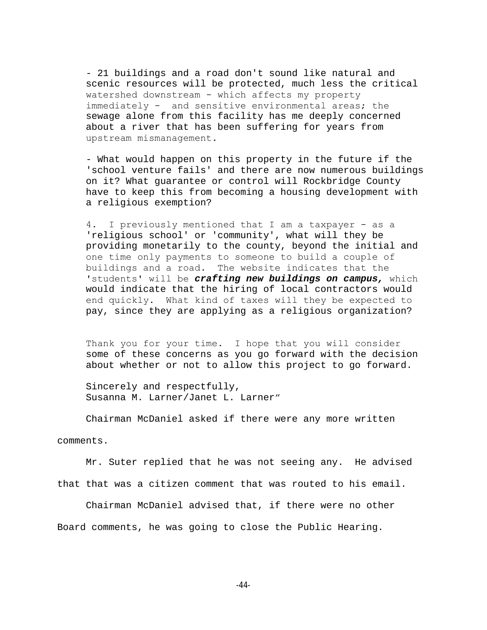- 21 buildings and a road don't sound like natural and scenic resources will be protected, much less the critical watershed downstream - which affects my property immediately - and sensitive environmental areas; the sewage alone from this facility has me deeply concerned about a river that has been suffering for years from upstream mismanagement.

- What would happen on this property in the future if the 'school venture fails' and there are now numerous buildings on it? What guarantee or control will Rockbridge County have to keep this from becoming a housing development with a religious exemption?

4. I previously mentioned that I am a taxpayer - as a 'religious school' or 'community', what will they be providing monetarily to the county, beyond the initial and one time only payments to someone to build a couple of buildings and a road. The website indicates that the 'students' will be *crafting new buildings on campus,* which would indicate that the hiring of local contractors would end quickly. What kind of taxes will they be expected to pay, since they are applying as a religious organization?

Thank you for your time. I hope that you will consider some of these concerns as you go forward with the decision about whether or not to allow this project to go forward.

Sincerely and respectfully, Susanna M. Larner/Janet L. Larner"

Chairman McDaniel asked if there were any more written

comments.

Mr. Suter replied that he was not seeing any. He advised that that was a citizen comment that was routed to his email.

Chairman McDaniel advised that, if there were no other Board comments, he was going to close the Public Hearing.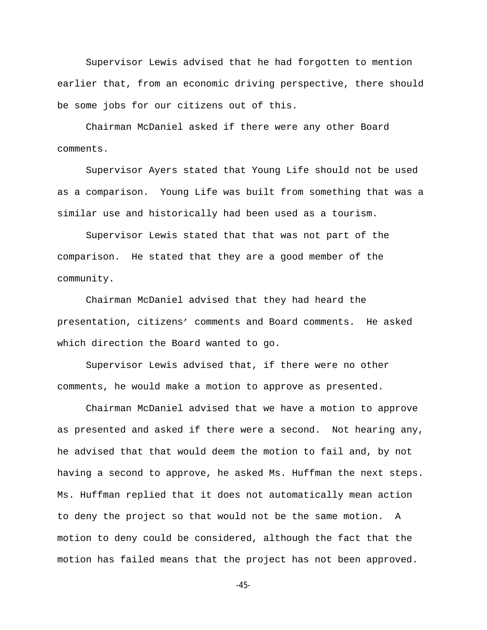Supervisor Lewis advised that he had forgotten to mention earlier that, from an economic driving perspective, there should be some jobs for our citizens out of this.

Chairman McDaniel asked if there were any other Board comments.

Supervisor Ayers stated that Young Life should not be used as a comparison. Young Life was built from something that was a similar use and historically had been used as a tourism.

Supervisor Lewis stated that that was not part of the comparison. He stated that they are a good member of the community.

Chairman McDaniel advised that they had heard the presentation, citizens' comments and Board comments. He asked which direction the Board wanted to go.

Supervisor Lewis advised that, if there were no other comments, he would make a motion to approve as presented.

Chairman McDaniel advised that we have a motion to approve as presented and asked if there were a second. Not hearing any, he advised that that would deem the motion to fail and, by not having a second to approve, he asked Ms. Huffman the next steps. Ms. Huffman replied that it does not automatically mean action to deny the project so that would not be the same motion. A motion to deny could be considered, although the fact that the motion has failed means that the project has not been approved.

-45-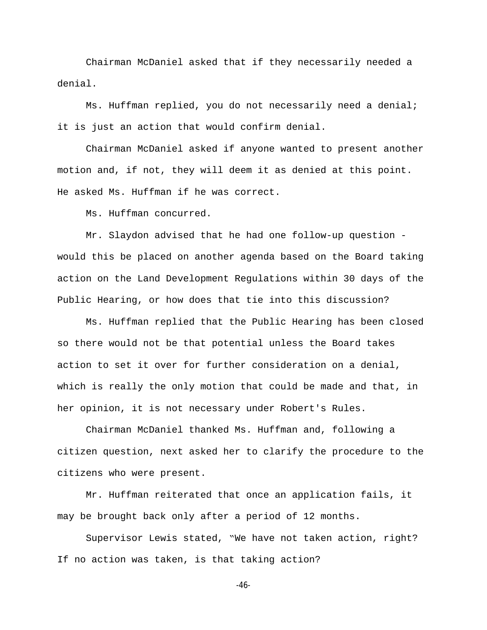Chairman McDaniel asked that if they necessarily needed a denial.

Ms. Huffman replied, you do not necessarily need a denial; it is just an action that would confirm denial.

Chairman McDaniel asked if anyone wanted to present another motion and, if not, they will deem it as denied at this point. He asked Ms. Huffman if he was correct.

Ms. Huffman concurred.

Mr. Slaydon advised that he had one follow-up question would this be placed on another agenda based on the Board taking action on the Land Development Regulations within 30 days of the Public Hearing, or how does that tie into this discussion?

Ms. Huffman replied that the Public Hearing has been closed so there would not be that potential unless the Board takes action to set it over for further consideration on a denial, which is really the only motion that could be made and that, in her opinion, it is not necessary under Robert's Rules.

Chairman McDaniel thanked Ms. Huffman and, following a citizen question, next asked her to clarify the procedure to the citizens who were present.

Mr. Huffman reiterated that once an application fails, it may be brought back only after a period of 12 months.

Supervisor Lewis stated, "We have not taken action, right? If no action was taken, is that taking action?

-46-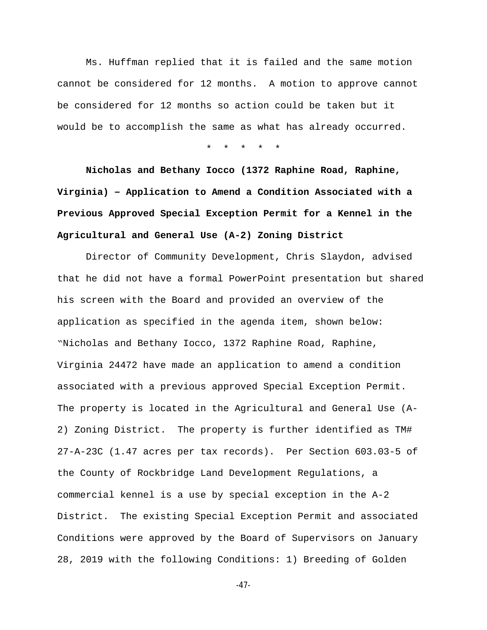Ms. Huffman replied that it is failed and the same motion cannot be considered for 12 months. A motion to approve cannot be considered for 12 months so action could be taken but it would be to accomplish the same as what has already occurred.

\* \* \* \* \*

**Nicholas and Bethany Iocco (1372 Raphine Road, Raphine, Virginia) – Application to Amend a Condition Associated with a Previous Approved Special Exception Permit for a Kennel in the Agricultural and General Use (A-2) Zoning District**

Director of Community Development, Chris Slaydon, advised that he did not have a formal PowerPoint presentation but shared his screen with the Board and provided an overview of the application as specified in the agenda item, shown below: "Nicholas and Bethany Iocco, 1372 Raphine Road, Raphine, Virginia 24472 have made an application to amend a condition associated with a previous approved Special Exception Permit. The property is located in the Agricultural and General Use (A-2) Zoning District. The property is further identified as TM# 27-A-23C (1.47 acres per tax records). Per Section 603.03-5 of the County of Rockbridge Land Development Regulations, a commercial kennel is a use by special exception in the A-2 District. The existing Special Exception Permit and associated Conditions were approved by the Board of Supervisors on January 28, 2019 with the following Conditions: 1) Breeding of Golden

-47-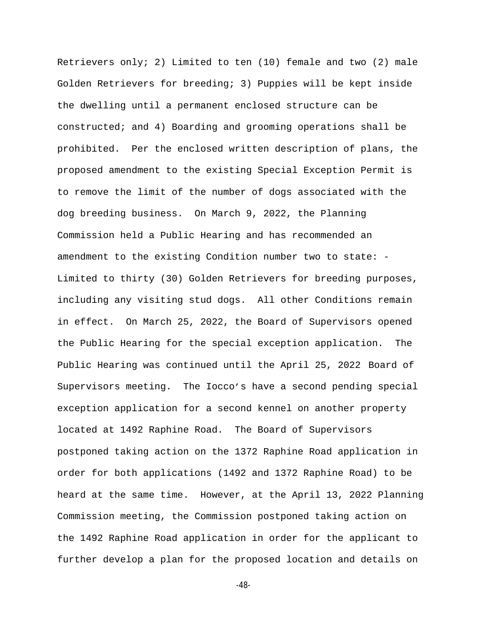Retrievers only; 2) Limited to ten (10) female and two (2) male Golden Retrievers for breeding; 3) Puppies will be kept inside the dwelling until a permanent enclosed structure can be constructed; and 4) Boarding and grooming operations shall be prohibited. Per the enclosed written description of plans, the proposed amendment to the existing Special Exception Permit is to remove the limit of the number of dogs associated with the dog breeding business. On March 9, 2022, the Planning Commission held a Public Hearing and has recommended an amendment to the existing Condition number two to state: - Limited to thirty (30) Golden Retrievers for breeding purposes, including any visiting stud dogs. All other Conditions remain in effect. On March 25, 2022, the Board of Supervisors opened the Public Hearing for the special exception application. The Public Hearing was continued until the April 25, 2022 Board of Supervisors meeting. The Iocco's have a second pending special exception application for a second kennel on another property located at 1492 Raphine Road. The Board of Supervisors postponed taking action on the 1372 Raphine Road application in order for both applications (1492 and 1372 Raphine Road) to be heard at the same time. However, at the April 13, 2022 Planning Commission meeting, the Commission postponed taking action on the 1492 Raphine Road application in order for the applicant to further develop a plan for the proposed location and details on

-48-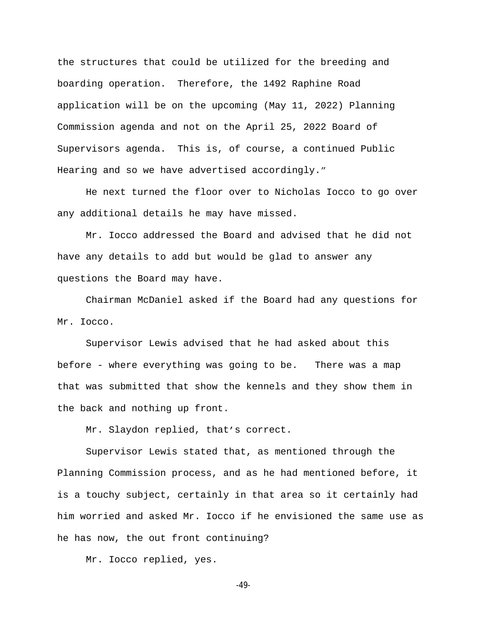the structures that could be utilized for the breeding and boarding operation. Therefore, the 1492 Raphine Road application will be on the upcoming (May 11, 2022) Planning Commission agenda and not on the April 25, 2022 Board of Supervisors agenda. This is, of course, a continued Public Hearing and so we have advertised accordingly."

He next turned the floor over to Nicholas Iocco to go over any additional details he may have missed.

Mr. Iocco addressed the Board and advised that he did not have any details to add but would be glad to answer any questions the Board may have.

Chairman McDaniel asked if the Board had any questions for Mr. Iocco.

Supervisor Lewis advised that he had asked about this before - where everything was going to be. There was a map that was submitted that show the kennels and they show them in the back and nothing up front.

Mr. Slaydon replied, that's correct.

Supervisor Lewis stated that, as mentioned through the Planning Commission process, and as he had mentioned before, it is a touchy subject, certainly in that area so it certainly had him worried and asked Mr. Iocco if he envisioned the same use as he has now, the out front continuing?

Mr. Iocco replied, yes.

-49-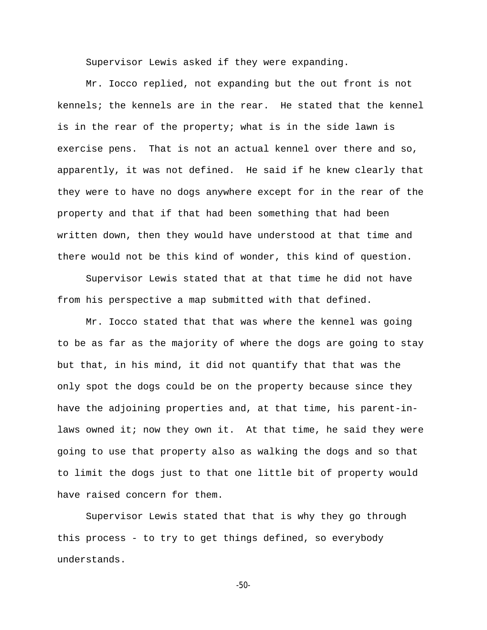Supervisor Lewis asked if they were expanding.

Mr. Iocco replied, not expanding but the out front is not kennels; the kennels are in the rear. He stated that the kennel is in the rear of the property; what is in the side lawn is exercise pens. That is not an actual kennel over there and so, apparently, it was not defined. He said if he knew clearly that they were to have no dogs anywhere except for in the rear of the property and that if that had been something that had been written down, then they would have understood at that time and there would not be this kind of wonder, this kind of question.

Supervisor Lewis stated that at that time he did not have from his perspective a map submitted with that defined.

Mr. Iocco stated that that was where the kennel was going to be as far as the majority of where the dogs are going to stay but that, in his mind, it did not quantify that that was the only spot the dogs could be on the property because since they have the adjoining properties and, at that time, his parent-inlaws owned it; now they own it. At that time, he said they were going to use that property also as walking the dogs and so that to limit the dogs just to that one little bit of property would have raised concern for them.

Supervisor Lewis stated that that is why they go through this process - to try to get things defined, so everybody understands.

```
-50-
```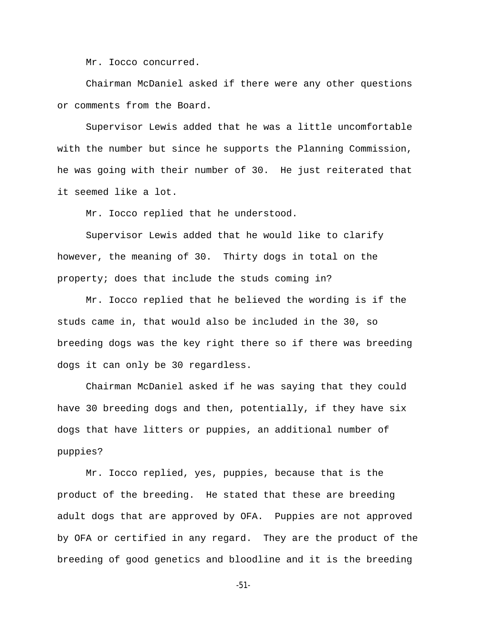Mr. Iocco concurred.

Chairman McDaniel asked if there were any other questions or comments from the Board.

Supervisor Lewis added that he was a little uncomfortable with the number but since he supports the Planning Commission, he was going with their number of 30. He just reiterated that it seemed like a lot.

Mr. Iocco replied that he understood.

Supervisor Lewis added that he would like to clarify however, the meaning of 30. Thirty dogs in total on the property; does that include the studs coming in?

Mr. Iocco replied that he believed the wording is if the studs came in, that would also be included in the 30, so breeding dogs was the key right there so if there was breeding dogs it can only be 30 regardless.

Chairman McDaniel asked if he was saying that they could have 30 breeding dogs and then, potentially, if they have six dogs that have litters or puppies, an additional number of puppies?

Mr. Iocco replied, yes, puppies, because that is the product of the breeding. He stated that these are breeding adult dogs that are approved by OFA. Puppies are not approved by OFA or certified in any regard. They are the product of the breeding of good genetics and bloodline and it is the breeding

-51-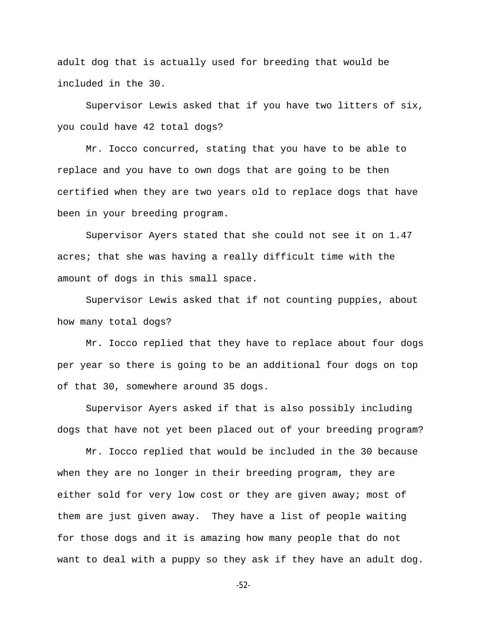adult dog that is actually used for breeding that would be included in the 30.

Supervisor Lewis asked that if you have two litters of six, you could have 42 total dogs?

Mr. Iocco concurred, stating that you have to be able to replace and you have to own dogs that are going to be then certified when they are two years old to replace dogs that have been in your breeding program.

Supervisor Ayers stated that she could not see it on 1.47 acres; that she was having a really difficult time with the amount of dogs in this small space.

Supervisor Lewis asked that if not counting puppies, about how many total dogs?

Mr. Iocco replied that they have to replace about four dogs per year so there is going to be an additional four dogs on top of that 30, somewhere around 35 dogs.

Supervisor Ayers asked if that is also possibly including dogs that have not yet been placed out of your breeding program?

Mr. Iocco replied that would be included in the 30 because when they are no longer in their breeding program, they are either sold for very low cost or they are given away; most of them are just given away. They have a list of people waiting for those dogs and it is amazing how many people that do not want to deal with a puppy so they ask if they have an adult dog.

-52-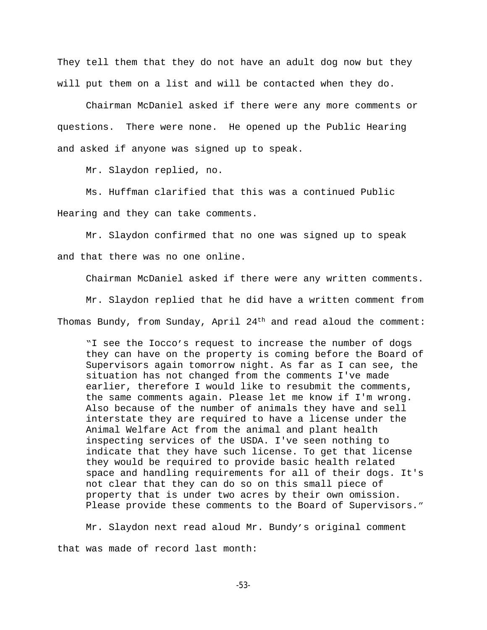They tell them that they do not have an adult dog now but they will put them on a list and will be contacted when they do.

Chairman McDaniel asked if there were any more comments or questions. There were none. He opened up the Public Hearing and asked if anyone was signed up to speak.

Mr. Slaydon replied, no.

Ms. Huffman clarified that this was a continued Public Hearing and they can take comments.

Mr. Slaydon confirmed that no one was signed up to speak and that there was no one online.

Chairman McDaniel asked if there were any written comments.

Mr. Slaydon replied that he did have a written comment from Thomas Bundy, from Sunday, April  $24<sup>th</sup>$  and read aloud the comment:

"I see the Iocco's request to increase the number of dogs they can have on the property is coming before the Board of Supervisors again tomorrow night. As far as I can see, the situation has not changed from the comments I've made earlier, therefore I would like to resubmit the comments, the same comments again. Please let me know if I'm wrong. Also because of the number of animals they have and sell interstate they are required to have a license under the Animal Welfare Act from the animal and plant health inspecting services of the USDA. I've seen nothing to indicate that they have such license. To get that license they would be required to provide basic health related space and handling requirements for all of their dogs. It's not clear that they can do so on this small piece of property that is under two acres by their own omission. Please provide these comments to the Board of Supervisors."

Mr. Slaydon next read aloud Mr. Bundy's original comment that was made of record last month:

-53-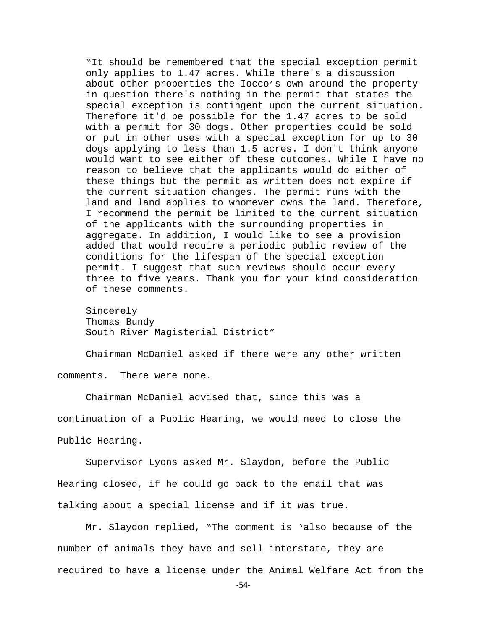"It should be remembered that the special exception permit only applies to 1.47 acres. While there's a discussion about other properties the Iocco's own around the property in question there's nothing in the permit that states the special exception is contingent upon the current situation. Therefore it'd be possible for the 1.47 acres to be sold with a permit for 30 dogs. Other properties could be sold or put in other uses with a special exception for up to 30 dogs applying to less than 1.5 acres. I don't think anyone would want to see either of these outcomes. While I have no reason to believe that the applicants would do either of these things but the permit as written does not expire if the current situation changes. The permit runs with the land and land applies to whomever owns the land. Therefore, I recommend the permit be limited to the current situation of the applicants with the surrounding properties in aggregate. In addition, I would like to see a provision added that would require a periodic public review of the conditions for the lifespan of the special exception permit. I suggest that such reviews should occur every three to five years. Thank you for your kind consideration of these comments.

Sincerely Thomas Bundy South River Magisterial District"

Chairman McDaniel asked if there were any other written comments. There were none.

Chairman McDaniel advised that, since this was a continuation of a Public Hearing, we would need to close the Public Hearing.

Supervisor Lyons asked Mr. Slaydon, before the Public Hearing closed, if he could go back to the email that was talking about a special license and if it was true.

Mr. Slaydon replied, "The comment is 'also because of the number of animals they have and sell interstate, they are required to have a license under the Animal Welfare Act from the

-54-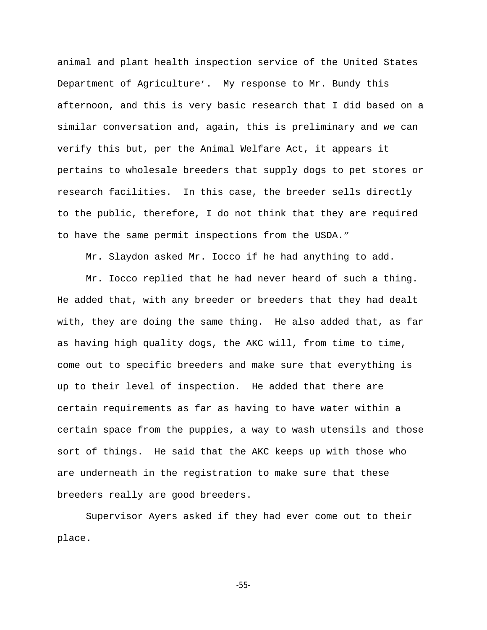animal and plant health inspection service of the United States Department of Agriculture'. My response to Mr. Bundy this afternoon, and this is very basic research that I did based on a similar conversation and, again, this is preliminary and we can verify this but, per the Animal Welfare Act, it appears it pertains to wholesale breeders that supply dogs to pet stores or research facilities. In this case, the breeder sells directly to the public, therefore, I do not think that they are required to have the same permit inspections from the USDA."

Mr. Slaydon asked Mr. Iocco if he had anything to add.

Mr. Iocco replied that he had never heard of such a thing. He added that, with any breeder or breeders that they had dealt with, they are doing the same thing. He also added that, as far as having high quality dogs, the AKC will, from time to time, come out to specific breeders and make sure that everything is up to their level of inspection. He added that there are certain requirements as far as having to have water within a certain space from the puppies, a way to wash utensils and those sort of things. He said that the AKC keeps up with those who are underneath in the registration to make sure that these breeders really are good breeders.

Supervisor Ayers asked if they had ever come out to their place.

-55-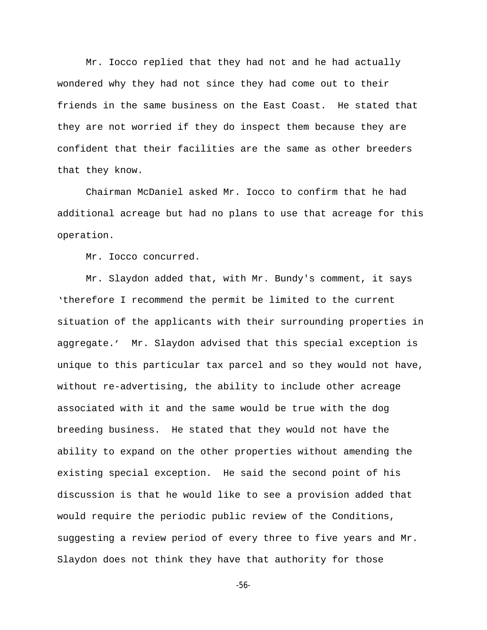Mr. Iocco replied that they had not and he had actually wondered why they had not since they had come out to their friends in the same business on the East Coast. He stated that they are not worried if they do inspect them because they are confident that their facilities are the same as other breeders that they know.

Chairman McDaniel asked Mr. Iocco to confirm that he had additional acreage but had no plans to use that acreage for this operation.

Mr. Iocco concurred.

Mr. Slaydon added that, with Mr. Bundy's comment, it says 'therefore I recommend the permit be limited to the current situation of the applicants with their surrounding properties in aggregate.' Mr. Slaydon advised that this special exception is unique to this particular tax parcel and so they would not have, without re-advertising, the ability to include other acreage associated with it and the same would be true with the dog breeding business. He stated that they would not have the ability to expand on the other properties without amending the existing special exception. He said the second point of his discussion is that he would like to see a provision added that would require the periodic public review of the Conditions, suggesting a review period of every three to five years and Mr. Slaydon does not think they have that authority for those

-56-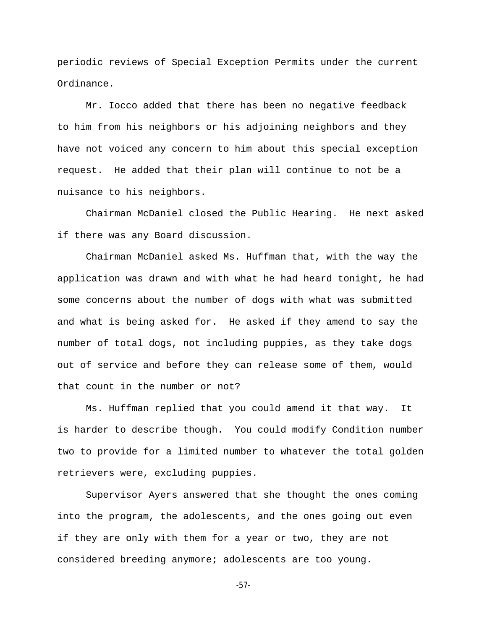periodic reviews of Special Exception Permits under the current Ordinance.

Mr. Iocco added that there has been no negative feedback to him from his neighbors or his adjoining neighbors and they have not voiced any concern to him about this special exception request. He added that their plan will continue to not be a nuisance to his neighbors.

Chairman McDaniel closed the Public Hearing. He next asked if there was any Board discussion.

Chairman McDaniel asked Ms. Huffman that, with the way the application was drawn and with what he had heard tonight, he had some concerns about the number of dogs with what was submitted and what is being asked for. He asked if they amend to say the number of total dogs, not including puppies, as they take dogs out of service and before they can release some of them, would that count in the number or not?

Ms. Huffman replied that you could amend it that way. It is harder to describe though. You could modify Condition number two to provide for a limited number to whatever the total golden retrievers were, excluding puppies.

Supervisor Ayers answered that she thought the ones coming into the program, the adolescents, and the ones going out even if they are only with them for a year or two, they are not considered breeding anymore; adolescents are too young.

-57-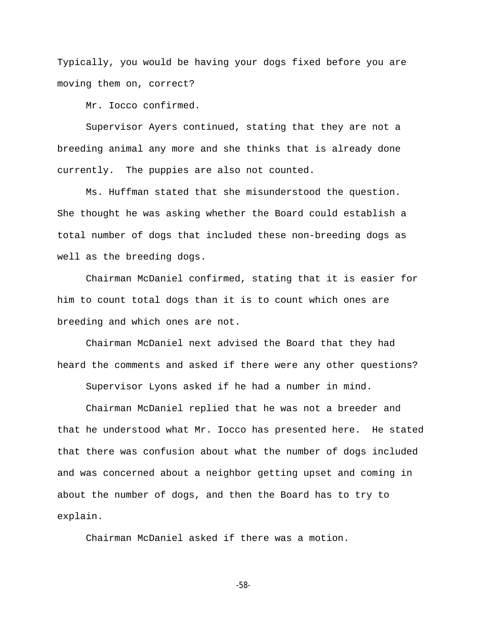Typically, you would be having your dogs fixed before you are moving them on, correct?

Mr. Iocco confirmed.

Supervisor Ayers continued, stating that they are not a breeding animal any more and she thinks that is already done currently. The puppies are also not counted.

Ms. Huffman stated that she misunderstood the question. She thought he was asking whether the Board could establish a total number of dogs that included these non-breeding dogs as well as the breeding dogs.

Chairman McDaniel confirmed, stating that it is easier for him to count total dogs than it is to count which ones are breeding and which ones are not.

Chairman McDaniel next advised the Board that they had heard the comments and asked if there were any other questions?

Supervisor Lyons asked if he had a number in mind.

Chairman McDaniel replied that he was not a breeder and that he understood what Mr. Iocco has presented here. He stated that there was confusion about what the number of dogs included and was concerned about a neighbor getting upset and coming in about the number of dogs, and then the Board has to try to explain.

Chairman McDaniel asked if there was a motion.

-58-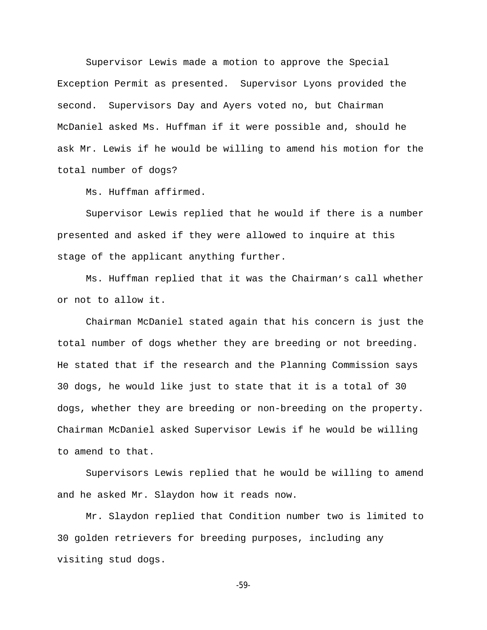Supervisor Lewis made a motion to approve the Special Exception Permit as presented. Supervisor Lyons provided the second. Supervisors Day and Ayers voted no, but Chairman McDaniel asked Ms. Huffman if it were possible and, should he ask Mr. Lewis if he would be willing to amend his motion for the total number of dogs?

Ms. Huffman affirmed.

Supervisor Lewis replied that he would if there is a number presented and asked if they were allowed to inquire at this stage of the applicant anything further.

Ms. Huffman replied that it was the Chairman's call whether or not to allow it.

Chairman McDaniel stated again that his concern is just the total number of dogs whether they are breeding or not breeding. He stated that if the research and the Planning Commission says 30 dogs, he would like just to state that it is a total of 30 dogs, whether they are breeding or non-breeding on the property. Chairman McDaniel asked Supervisor Lewis if he would be willing to amend to that.

Supervisors Lewis replied that he would be willing to amend and he asked Mr. Slaydon how it reads now.

Mr. Slaydon replied that Condition number two is limited to 30 golden retrievers for breeding purposes, including any visiting stud dogs.

-59-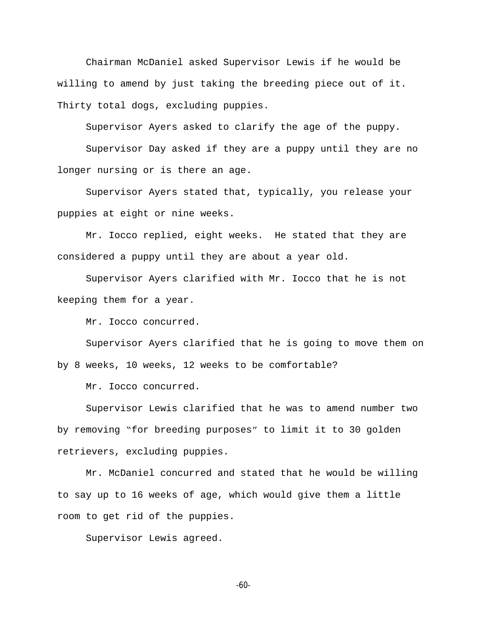Chairman McDaniel asked Supervisor Lewis if he would be willing to amend by just taking the breeding piece out of it. Thirty total dogs, excluding puppies.

Supervisor Ayers asked to clarify the age of the puppy.

Supervisor Day asked if they are a puppy until they are no longer nursing or is there an age.

Supervisor Ayers stated that, typically, you release your puppies at eight or nine weeks.

Mr. Iocco replied, eight weeks. He stated that they are considered a puppy until they are about a year old.

Supervisor Ayers clarified with Mr. Iocco that he is not keeping them for a year.

Mr. Iocco concurred.

Supervisor Ayers clarified that he is going to move them on by 8 weeks, 10 weeks, 12 weeks to be comfortable?

Mr. Iocco concurred.

Supervisor Lewis clarified that he was to amend number two by removing "for breeding purposes" to limit it to 30 golden retrievers, excluding puppies.

Mr. McDaniel concurred and stated that he would be willing to say up to 16 weeks of age, which would give them a little room to get rid of the puppies.

Supervisor Lewis agreed.

-60-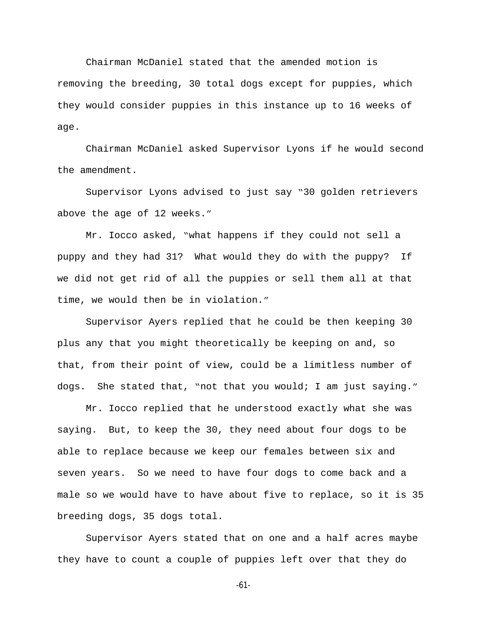Chairman McDaniel stated that the amended motion is removing the breeding, 30 total dogs except for puppies, which they would consider puppies in this instance up to 16 weeks of age.

Chairman McDaniel asked Supervisor Lyons if he would second the amendment.

Supervisor Lyons advised to just say "30 golden retrievers above the age of 12 weeks."

Mr. Iocco asked, "what happens if they could not sell a puppy and they had 31? What would they do with the puppy? If we did not get rid of all the puppies or sell them all at that time, we would then be in violation."

Supervisor Ayers replied that he could be then keeping 30 plus any that you might theoretically be keeping on and, so that, from their point of view, could be a limitless number of dogs. She stated that, "not that you would; I am just saying."

Mr. Iocco replied that he understood exactly what she was saying. But, to keep the 30, they need about four dogs to be able to replace because we keep our females between six and seven years. So we need to have four dogs to come back and a male so we would have to have about five to replace, so it is 35 breeding dogs, 35 dogs total.

Supervisor Ayers stated that on one and a half acres maybe they have to count a couple of puppies left over that they do

-61-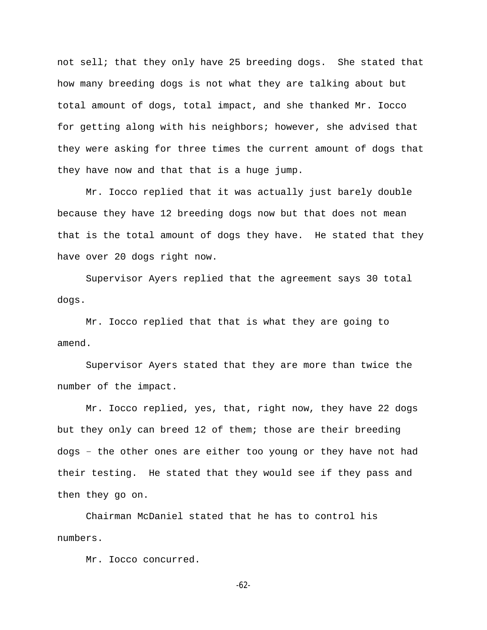not sell; that they only have 25 breeding dogs. She stated that how many breeding dogs is not what they are talking about but total amount of dogs, total impact, and she thanked Mr. Iocco for getting along with his neighbors; however, she advised that they were asking for three times the current amount of dogs that they have now and that that is a huge jump.

Mr. Iocco replied that it was actually just barely double because they have 12 breeding dogs now but that does not mean that is the total amount of dogs they have. He stated that they have over 20 dogs right now.

Supervisor Ayers replied that the agreement says 30 total dogs.

Mr. Iocco replied that that is what they are going to amend.

Supervisor Ayers stated that they are more than twice the number of the impact.

Mr. Iocco replied, yes, that, right now, they have 22 dogs but they only can breed 12 of them; those are their breeding dogs – the other ones are either too young or they have not had their testing. He stated that they would see if they pass and then they go on.

Chairman McDaniel stated that he has to control his numbers.

Mr. Iocco concurred.

-62-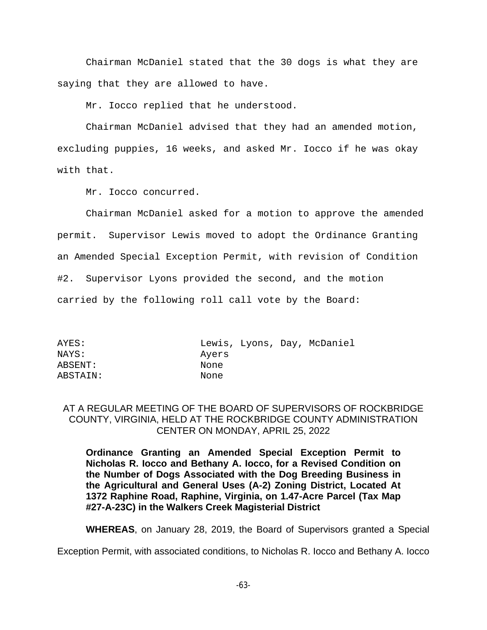Chairman McDaniel stated that the 30 dogs is what they are saying that they are allowed to have.

Mr. Iocco replied that he understood.

Chairman McDaniel advised that they had an amended motion, excluding puppies, 16 weeks, and asked Mr. Iocco if he was okay with that.

Mr. Iocco concurred.

Chairman McDaniel asked for a motion to approve the amended permit. Supervisor Lewis moved to adopt the Ordinance Granting an Amended Special Exception Permit, with revision of Condition #2. Supervisor Lyons provided the second, and the motion carried by the following roll call vote by the Board:

NAYS: Ayers ABSENT: None ABSTAIN: None

AYES: Lewis, Lyons, Day, McDaniel

## AT A REGULAR MEETING OF THE BOARD OF SUPERVISORS OF ROCKBRIDGE COUNTY, VIRGINIA, HELD AT THE ROCKBRIDGE COUNTY ADMINISTRATION CENTER ON MONDAY, APRIL 25, 2022

**Ordinance Granting an Amended Special Exception Permit to Nicholas R. Iocco and Bethany A. Iocco, for a Revised Condition on the Number of Dogs Associated with the Dog Breeding Business in the Agricultural and General Uses (A-2) Zoning District, Located At 1372 Raphine Road, Raphine, Virginia, on 1.47-Acre Parcel (Tax Map #27-A-23C) in the Walkers Creek Magisterial District**

**WHEREAS**, on January 28, 2019, the Board of Supervisors granted a Special

Exception Permit, with associated conditions, to Nicholas R. Iocco and Bethany A. Iocco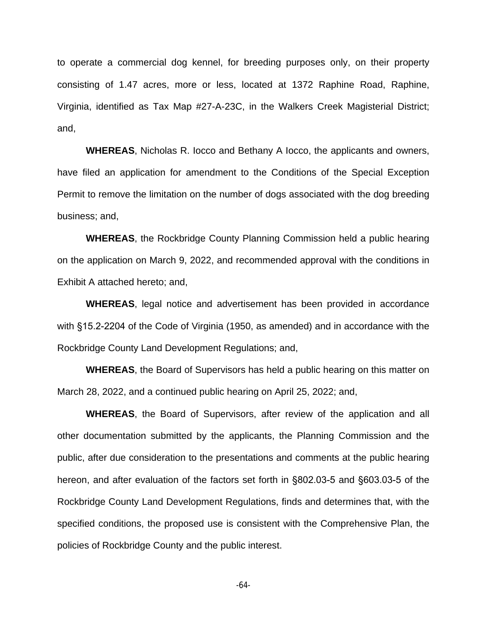to operate a commercial dog kennel, for breeding purposes only, on their property consisting of 1.47 acres, more or less, located at 1372 Raphine Road, Raphine, Virginia, identified as Tax Map #27-A-23C, in the Walkers Creek Magisterial District; and,

**WHEREAS**, Nicholas R. Iocco and Bethany A Iocco, the applicants and owners, have filed an application for amendment to the Conditions of the Special Exception Permit to remove the limitation on the number of dogs associated with the dog breeding business; and,

**WHEREAS**, the Rockbridge County Planning Commission held a public hearing on the application on March 9, 2022, and recommended approval with the conditions in Exhibit A attached hereto; and,

**WHEREAS**, legal notice and advertisement has been provided in accordance with §15.2-2204 of the Code of Virginia (1950, as amended) and in accordance with the Rockbridge County Land Development Regulations; and,

**WHEREAS**, the Board of Supervisors has held a public hearing on this matter on March 28, 2022, and a continued public hearing on April 25, 2022; and,

**WHEREAS**, the Board of Supervisors, after review of the application and all other documentation submitted by the applicants, the Planning Commission and the public, after due consideration to the presentations and comments at the public hearing hereon, and after evaluation of the factors set forth in §802.03-5 and §603.03-5 of the Rockbridge County Land Development Regulations, finds and determines that, with the specified conditions, the proposed use is consistent with the Comprehensive Plan, the policies of Rockbridge County and the public interest.

-64-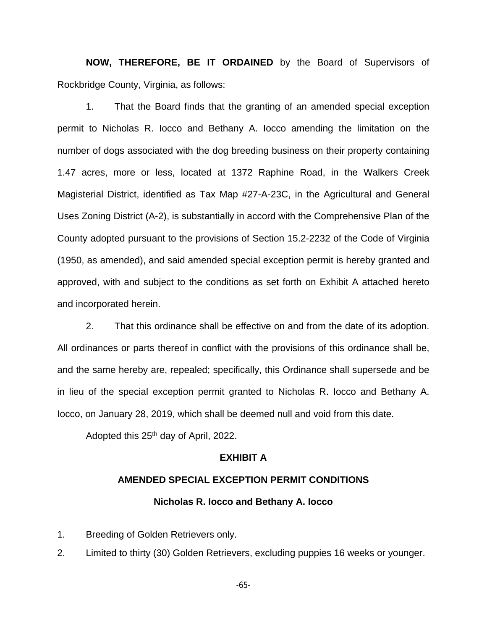**NOW, THEREFORE, BE IT ORDAINED** by the Board of Supervisors of Rockbridge County, Virginia, as follows:

1. That the Board finds that the granting of an amended special exception permit to Nicholas R. Iocco and Bethany A. Iocco amending the limitation on the number of dogs associated with the dog breeding business on their property containing 1.47 acres, more or less, located at 1372 Raphine Road, in the Walkers Creek Magisterial District, identified as Tax Map #27-A-23C, in the Agricultural and General Uses Zoning District (A-2), is substantially in accord with the Comprehensive Plan of the County adopted pursuant to the provisions of Section 15.2-2232 of the Code of Virginia (1950, as amended), and said amended special exception permit is hereby granted and approved, with and subject to the conditions as set forth on Exhibit A attached hereto and incorporated herein.

2. That this ordinance shall be effective on and from the date of its adoption. All ordinances or parts thereof in conflict with the provisions of this ordinance shall be, and the same hereby are, repealed; specifically, this Ordinance shall supersede and be in lieu of the special exception permit granted to Nicholas R. Iocco and Bethany A. Iocco, on January 28, 2019, which shall be deemed null and void from this date.

Adopted this 25<sup>th</sup> day of April, 2022.

### **EXHIBIT A**

# **AMENDED SPECIAL EXCEPTION PERMIT CONDITIONS Nicholas R. Iocco and Bethany A. Iocco**

1. Breeding of Golden Retrievers only.

2. Limited to thirty (30) Golden Retrievers, excluding puppies 16 weeks or younger.

-65-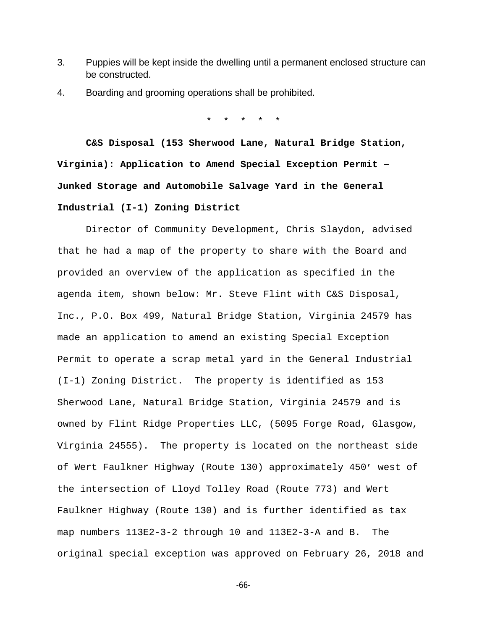- 3. Puppies will be kept inside the dwelling until a permanent enclosed structure can be constructed.
- 4. Boarding and grooming operations shall be prohibited.

\* \* \* \* \*

**C&S Disposal (153 Sherwood Lane, Natural Bridge Station, Virginia): Application to Amend Special Exception Permit – Junked Storage and Automobile Salvage Yard in the General Industrial (I-1) Zoning District**

Director of Community Development, Chris Slaydon, advised that he had a map of the property to share with the Board and provided an overview of the application as specified in the agenda item, shown below: Mr. Steve Flint with C&S Disposal, Inc., P.O. Box 499, Natural Bridge Station, Virginia 24579 has made an application to amend an existing Special Exception Permit to operate a scrap metal yard in the General Industrial (I-1) Zoning District. The property is identified as 153 Sherwood Lane, Natural Bridge Station, Virginia 24579 and is owned by Flint Ridge Properties LLC, (5095 Forge Road, Glasgow, Virginia 24555). The property is located on the northeast side of Wert Faulkner Highway (Route 130) approximately 450' west of the intersection of Lloyd Tolley Road (Route 773) and Wert Faulkner Highway (Route 130) and is further identified as tax map numbers 113E2-3-2 through 10 and 113E2-3-A and B. The original special exception was approved on February 26, 2018 and

-66-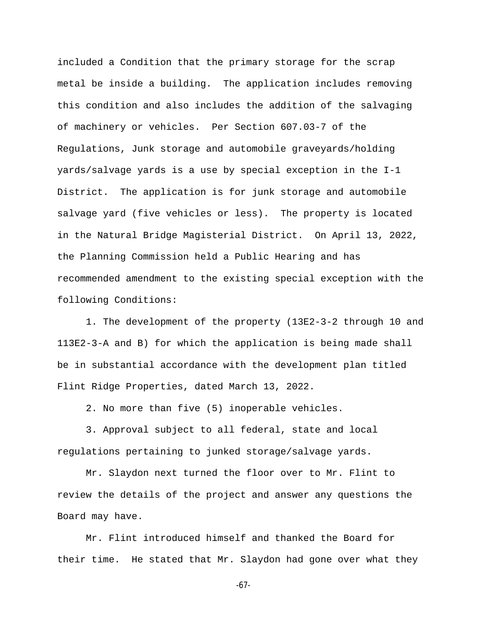included a Condition that the primary storage for the scrap metal be inside a building. The application includes removing this condition and also includes the addition of the salvaging of machinery or vehicles. Per Section 607.03-7 of the Regulations, Junk storage and automobile graveyards/holding yards/salvage yards is a use by special exception in the I-1 District. The application is for junk storage and automobile salvage yard (five vehicles or less). The property is located in the Natural Bridge Magisterial District. On April 13, 2022, the Planning Commission held a Public Hearing and has recommended amendment to the existing special exception with the following Conditions:

1. The development of the property (13E2-3-2 through 10 and 113E2-3-A and B) for which the application is being made shall be in substantial accordance with the development plan titled Flint Ridge Properties, dated March 13, 2022.

2. No more than five (5) inoperable vehicles.

3. Approval subject to all federal, state and local regulations pertaining to junked storage/salvage yards.

Mr. Slaydon next turned the floor over to Mr. Flint to review the details of the project and answer any questions the Board may have.

Mr. Flint introduced himself and thanked the Board for their time. He stated that Mr. Slaydon had gone over what they

-67-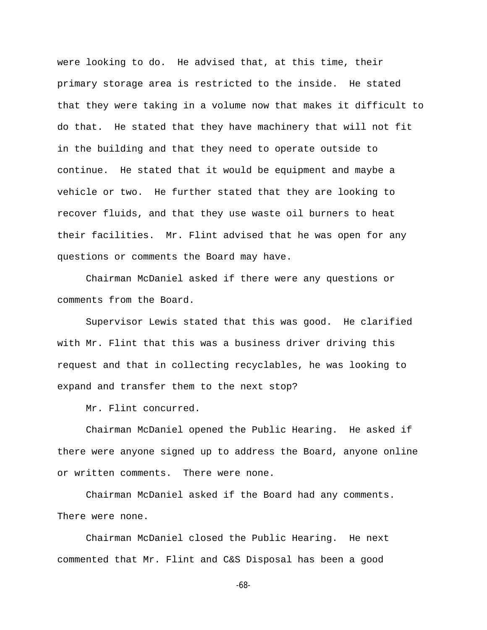were looking to do. He advised that, at this time, their primary storage area is restricted to the inside. He stated that they were taking in a volume now that makes it difficult to do that. He stated that they have machinery that will not fit in the building and that they need to operate outside to continue. He stated that it would be equipment and maybe a vehicle or two. He further stated that they are looking to recover fluids, and that they use waste oil burners to heat their facilities. Mr. Flint advised that he was open for any questions or comments the Board may have.

Chairman McDaniel asked if there were any questions or comments from the Board.

Supervisor Lewis stated that this was good. He clarified with Mr. Flint that this was a business driver driving this request and that in collecting recyclables, he was looking to expand and transfer them to the next stop?

Mr. Flint concurred.

Chairman McDaniel opened the Public Hearing. He asked if there were anyone signed up to address the Board, anyone online or written comments. There were none.

Chairman McDaniel asked if the Board had any comments. There were none.

Chairman McDaniel closed the Public Hearing. He next commented that Mr. Flint and C&S Disposal has been a good

-68-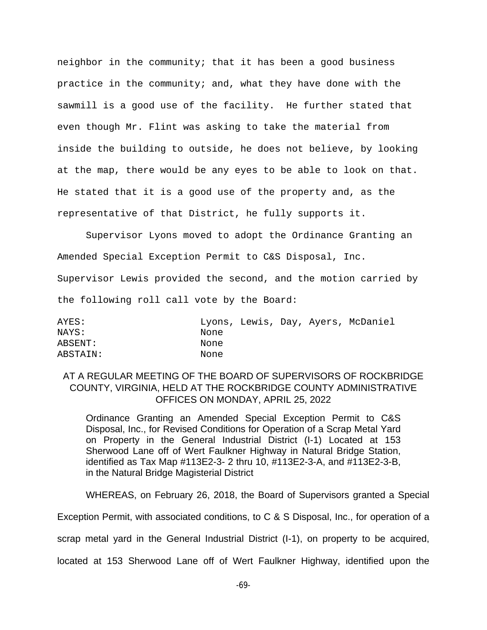neighbor in the community; that it has been a good business practice in the community; and, what they have done with the sawmill is a good use of the facility. He further stated that even though Mr. Flint was asking to take the material from inside the building to outside, he does not believe, by looking at the map, there would be any eyes to be able to look on that. He stated that it is a good use of the property and, as the representative of that District, he fully supports it.

Supervisor Lyons moved to adopt the Ordinance Granting an Amended Special Exception Permit to C&S Disposal, Inc. Supervisor Lewis provided the second, and the motion carried by the following roll call vote by the Board:

AYES: Lyons, Lewis, Day, Ayers, McDaniel NAYS: None ABSENT: None ABSTAIN: None

# AT A REGULAR MEETING OF THE BOARD OF SUPERVISORS OF ROCKBRIDGE COUNTY, VIRGINIA, HELD AT THE ROCKBRIDGE COUNTY ADMINISTRATIVE OFFICES ON MONDAY, APRIL 25, 2022

Ordinance Granting an Amended Special Exception Permit to C&S Disposal, Inc., for Revised Conditions for Operation of a Scrap Metal Yard on Property in the General Industrial District (I-1) Located at 153 Sherwood Lane off of Wert Faulkner Highway in Natural Bridge Station, identified as Tax Map #113E2-3- 2 thru 10, #113E2-3-A, and #113E2-3-B, in the Natural Bridge Magisterial District

WHEREAS, on February 26, 2018, the Board of Supervisors granted a Special

Exception Permit, with associated conditions, to C & S Disposal, Inc., for operation of a

scrap metal yard in the General Industrial District (I-1), on property to be acquired,

located at 153 Sherwood Lane off of Wert Faulkner Highway, identified upon the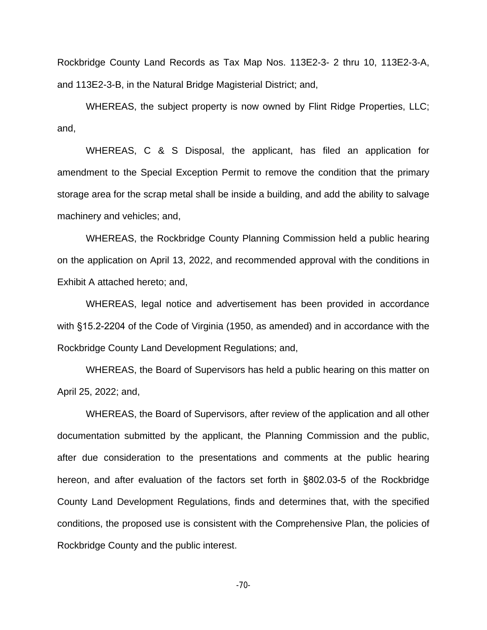Rockbridge County Land Records as Tax Map Nos. 113E2-3- 2 thru 10, 113E2-3-A, and 113E2-3-B, in the Natural Bridge Magisterial District; and,

WHEREAS, the subject property is now owned by Flint Ridge Properties, LLC; and,

WHEREAS, C & S Disposal, the applicant, has filed an application for amendment to the Special Exception Permit to remove the condition that the primary storage area for the scrap metal shall be inside a building, and add the ability to salvage machinery and vehicles; and,

WHEREAS, the Rockbridge County Planning Commission held a public hearing on the application on April 13, 2022, and recommended approval with the conditions in Exhibit A attached hereto; and,

WHEREAS, legal notice and advertisement has been provided in accordance with §15.2-2204 of the Code of Virginia (1950, as amended) and in accordance with the Rockbridge County Land Development Regulations; and,

WHEREAS, the Board of Supervisors has held a public hearing on this matter on April 25, 2022; and,

WHEREAS, the Board of Supervisors, after review of the application and all other documentation submitted by the applicant, the Planning Commission and the public, after due consideration to the presentations and comments at the public hearing hereon, and after evaluation of the factors set forth in §802.03-5 of the Rockbridge County Land Development Regulations, finds and determines that, with the specified conditions, the proposed use is consistent with the Comprehensive Plan, the policies of Rockbridge County and the public interest.

-70-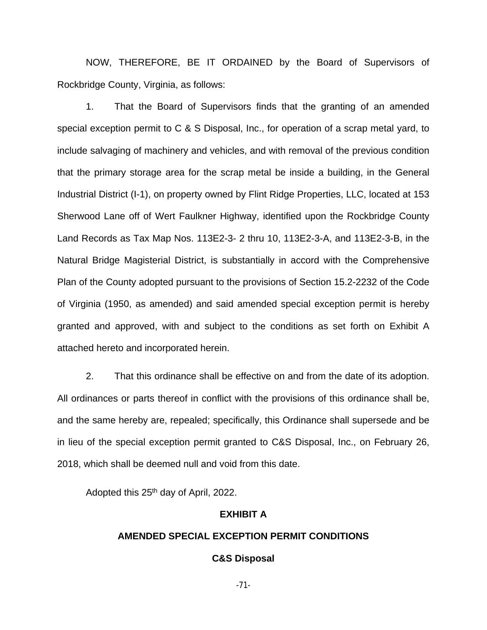NOW, THEREFORE, BE IT ORDAINED by the Board of Supervisors of Rockbridge County, Virginia, as follows:

1. That the Board of Supervisors finds that the granting of an amended special exception permit to C & S Disposal, Inc., for operation of a scrap metal yard, to include salvaging of machinery and vehicles, and with removal of the previous condition that the primary storage area for the scrap metal be inside a building, in the General Industrial District (I-1), on property owned by Flint Ridge Properties, LLC, located at 153 Sherwood Lane off of Wert Faulkner Highway, identified upon the Rockbridge County Land Records as Tax Map Nos. 113E2-3- 2 thru 10, 113E2-3-A, and 113E2-3-B, in the Natural Bridge Magisterial District, is substantially in accord with the Comprehensive Plan of the County adopted pursuant to the provisions of Section 15.2-2232 of the Code of Virginia (1950, as amended) and said amended special exception permit is hereby granted and approved, with and subject to the conditions as set forth on Exhibit A attached hereto and incorporated herein.

2. That this ordinance shall be effective on and from the date of its adoption. All ordinances or parts thereof in conflict with the provisions of this ordinance shall be, and the same hereby are, repealed; specifically, this Ordinance shall supersede and be in lieu of the special exception permit granted to C&S Disposal, Inc., on February 26, 2018, which shall be deemed null and void from this date.

Adopted this 25th day of April, 2022.

### **EXHIBIT A**

## **AMENDED SPECIAL EXCEPTION PERMIT CONDITIONS**

### **C&S Disposal**

-71-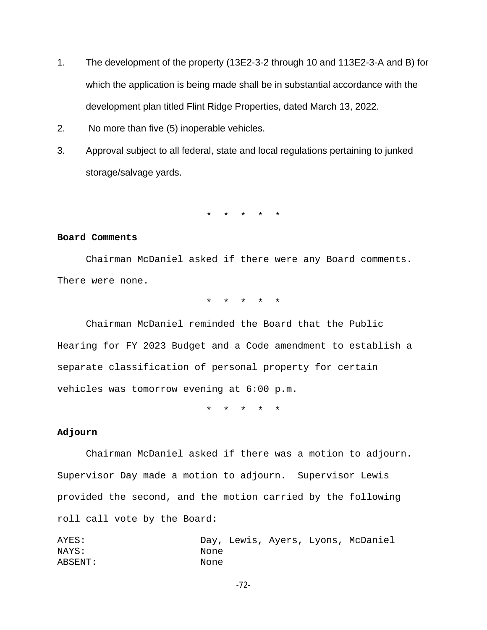- 1. The development of the property (13E2-3-2 through 10 and 113E2-3-A and B) for which the application is being made shall be in substantial accordance with the development plan titled Flint Ridge Properties, dated March 13, 2022.
- 2. No more than five (5) inoperable vehicles.
- 3. Approval subject to all federal, state and local regulations pertaining to junked storage/salvage yards.

\* \* \* \* \*

#### **Board Comments**

Chairman McDaniel asked if there were any Board comments. There were none.

\* \* \* \* \*

Chairman McDaniel reminded the Board that the Public Hearing for FY 2023 Budget and a Code amendment to establish a separate classification of personal property for certain vehicles was tomorrow evening at 6:00 p.m.

\* \* \* \* \*

#### **Adjourn**

Chairman McDaniel asked if there was a motion to adjourn. Supervisor Day made a motion to adjourn. Supervisor Lewis provided the second, and the motion carried by the following roll call vote by the Board:

AYES: Day, Lewis, Ayers, Lyons, McDaniel NAYS: None ABSENT: None

-72-